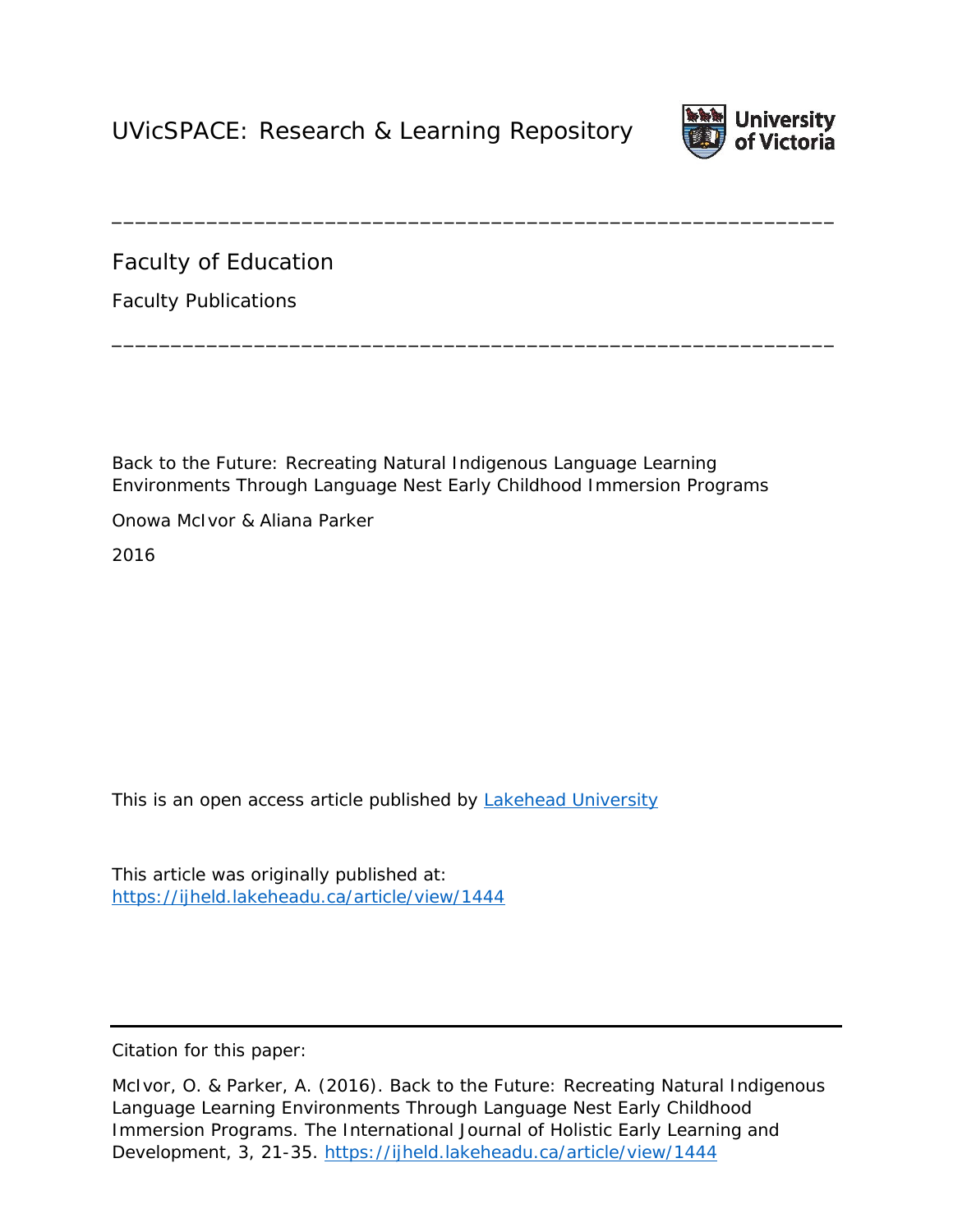

Faculty of Education

Faculty Publications

Back to the Future: Recreating Natural Indigenous Language Learning Environments Through Language Nest Early Childhood Immersion Programs

\_\_\_\_\_\_\_\_\_\_\_\_\_\_\_\_\_\_\_\_\_\_\_\_\_\_\_\_\_\_\_\_\_\_\_\_\_\_\_\_\_\_\_\_\_\_\_\_\_\_\_\_\_\_\_\_\_\_\_\_\_

\_\_\_\_\_\_\_\_\_\_\_\_\_\_\_\_\_\_\_\_\_\_\_\_\_\_\_\_\_\_\_\_\_\_\_\_\_\_\_\_\_\_\_\_\_\_\_\_\_\_\_\_\_\_\_\_\_\_\_\_\_

Onowa McIvor & Aliana Parker

2016

*This is an open access article published by [Lakehead University](https://ijheld.lakeheadu.ca/about/journalSponsorship)*

This article was originally published at: <https://ijheld.lakeheadu.ca/article/view/1444>

Citation for this paper:

McIvor, O. & Parker, A. (2016). Back to the Future: Recreating Natural Indigenous Language Learning Environments Through Language Nest Early Childhood Immersion Programs. *The International Journal of Holistic Early Learning and Development*, 3, 21-35. <https://ijheld.lakeheadu.ca/article/view/1444>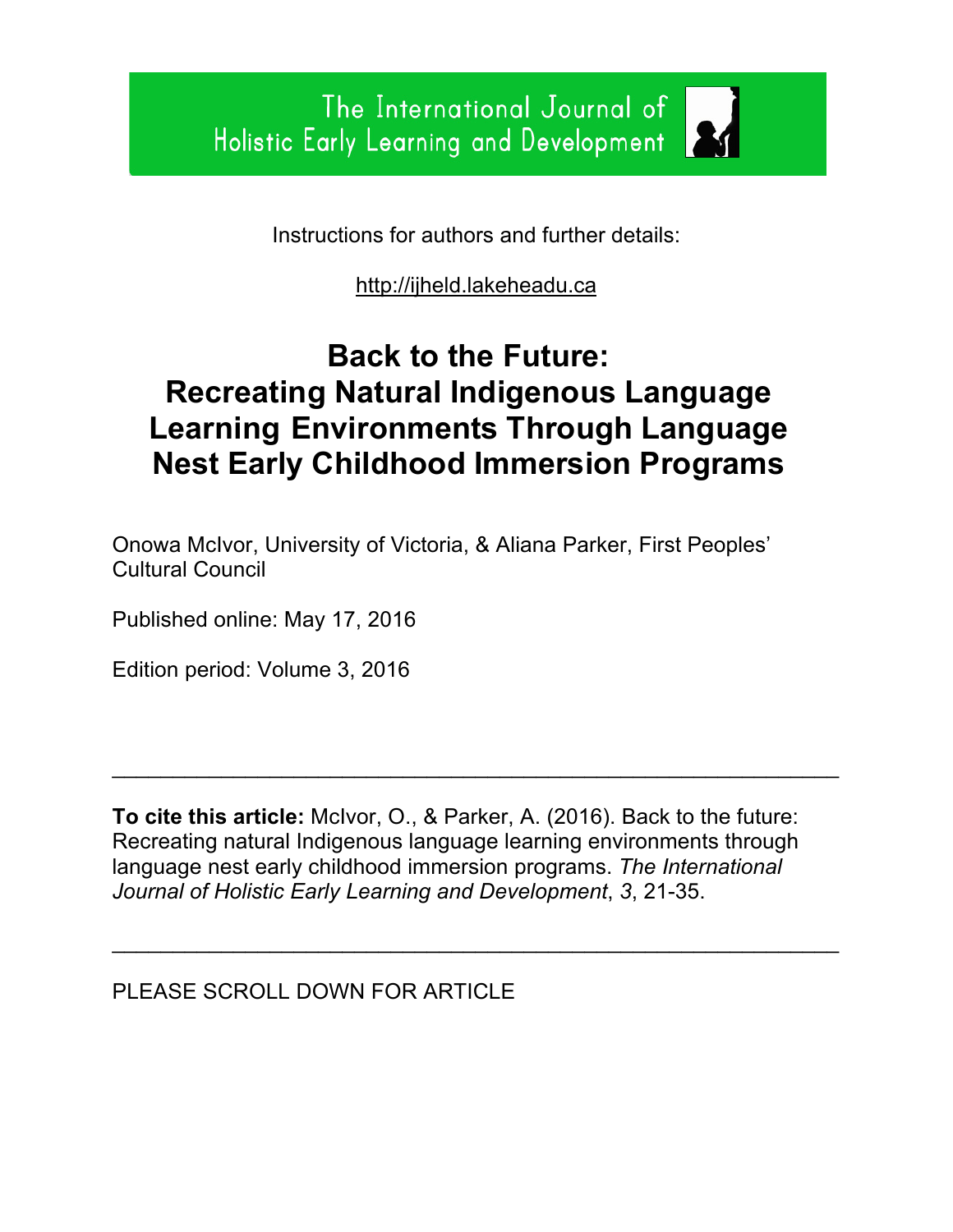Instructions for authors and further details:

http://ijheld.lakeheadu.ca

# **Back to the Future: Recreating Natural Indigenous Language Learning Environments Through Language Nest Early Childhood Immersion Programs**

Onowa McIvor, University of Victoria, & Aliana Parker, First Peoples' Cultural Council

Published online: May 17, 2016

Edition period: Volume 3, 2016

**To cite this article:** McIvor, O., & Parker, A. (2016). Back to the future: Recreating natural Indigenous language learning environments through language nest early childhood immersion programs. *The International Journal of Holistic Early Learning and Development*, *3*, 21-35.

 $\mathcal{L}_\text{max}$  , and the contract of the contract of the contract of the contract of the contract of the contract of the contract of the contract of the contract of the contract of the contract of the contract of the contr

 $\mathcal{L}_\text{max}$  , and the contract of the contract of the contract of the contract of the contract of the contract of the contract of the contract of the contract of the contract of the contract of the contract of the contr

PLEASE SCROLL DOWN FOR ARTICLE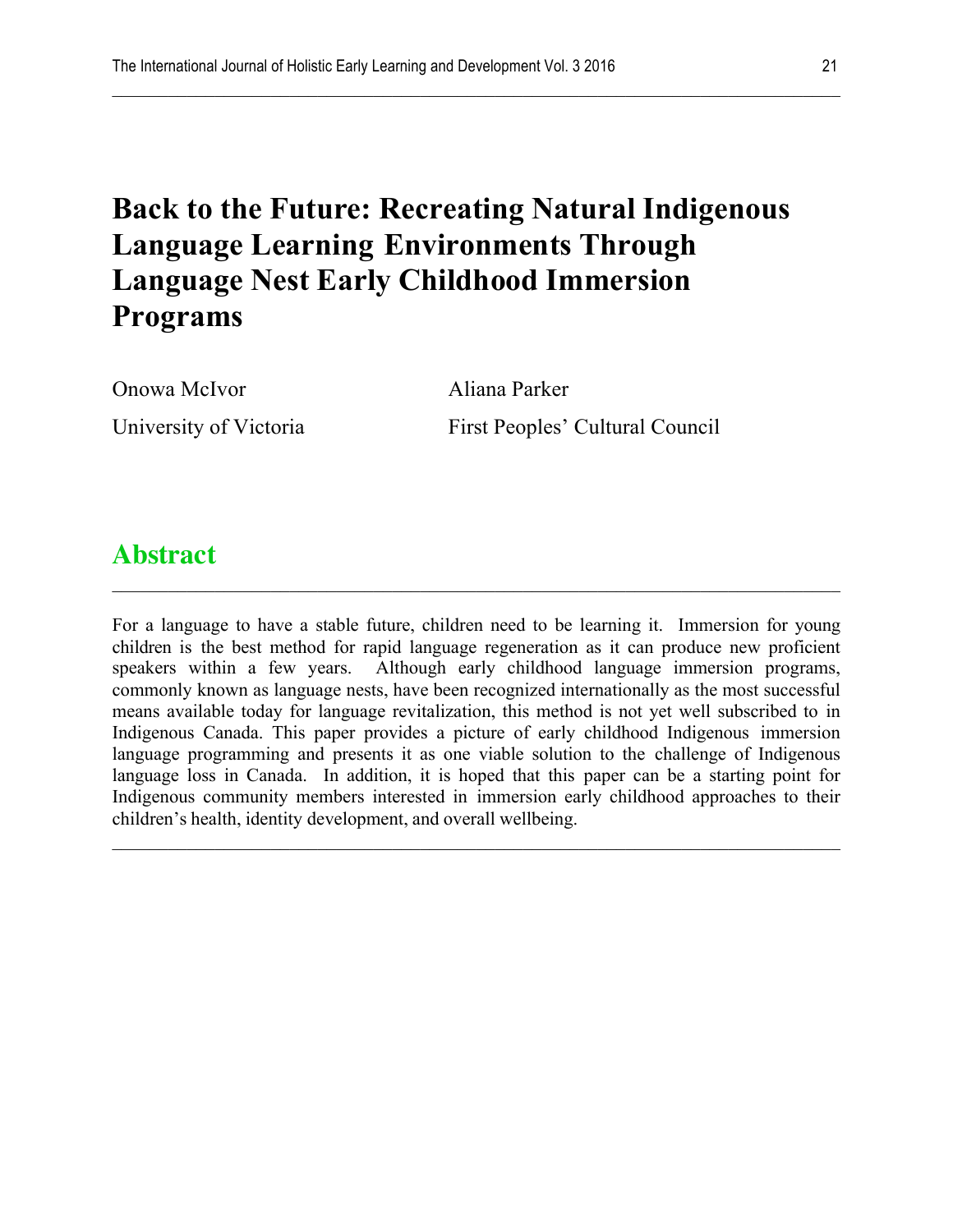# **Back to the Future: Recreating Natural Indigenous Language Learning Environments Through Language Nest Early Childhood Immersion Programs**

 $\mathcal{L}_\mathcal{L} = \{ \mathcal{L}_\mathcal{L} = \{ \mathcal{L}_\mathcal{L} = \{ \mathcal{L}_\mathcal{L} = \{ \mathcal{L}_\mathcal{L} = \{ \mathcal{L}_\mathcal{L} = \{ \mathcal{L}_\mathcal{L} = \{ \mathcal{L}_\mathcal{L} = \{ \mathcal{L}_\mathcal{L} = \{ \mathcal{L}_\mathcal{L} = \{ \mathcal{L}_\mathcal{L} = \{ \mathcal{L}_\mathcal{L} = \{ \mathcal{L}_\mathcal{L} = \{ \mathcal{L}_\mathcal{L} = \{ \mathcal{L}_\mathcal{$ 

Onowa McIvor Aliana Parker

University of Victoria First Peoples' Cultural Council

# **Abstract**

For a language to have a stable future, children need to be learning it. Immersion for young children is the best method for rapid language regeneration as it can produce new proficient speakers within a few years. Although early childhood language immersion programs, commonly known as language nests, have been recognized internationally as the most successful means available today for language revitalization, this method is not yet well subscribed to in Indigenous Canada. This paper provides a picture of early childhood Indigenous immersion language programming and presents it as one viable solution to the challenge of Indigenous language loss in Canada. In addition, it is hoped that this paper can be a starting point for Indigenous community members interested in immersion early childhood approaches to their children's health, identity development, and overall wellbeing.

 $\mathcal{L}_\mathcal{L} = \{ \mathcal{L}_\mathcal{L} = \{ \mathcal{L}_\mathcal{L} = \{ \mathcal{L}_\mathcal{L} = \{ \mathcal{L}_\mathcal{L} = \{ \mathcal{L}_\mathcal{L} = \{ \mathcal{L}_\mathcal{L} = \{ \mathcal{L}_\mathcal{L} = \{ \mathcal{L}_\mathcal{L} = \{ \mathcal{L}_\mathcal{L} = \{ \mathcal{L}_\mathcal{L} = \{ \mathcal{L}_\mathcal{L} = \{ \mathcal{L}_\mathcal{L} = \{ \mathcal{L}_\mathcal{L} = \{ \mathcal{L}_\mathcal{$ 

 $\mathcal{L}_\mathcal{L} = \{ \mathcal{L}_\mathcal{L} = \{ \mathcal{L}_\mathcal{L} = \{ \mathcal{L}_\mathcal{L} = \{ \mathcal{L}_\mathcal{L} = \{ \mathcal{L}_\mathcal{L} = \{ \mathcal{L}_\mathcal{L} = \{ \mathcal{L}_\mathcal{L} = \{ \mathcal{L}_\mathcal{L} = \{ \mathcal{L}_\mathcal{L} = \{ \mathcal{L}_\mathcal{L} = \{ \mathcal{L}_\mathcal{L} = \{ \mathcal{L}_\mathcal{L} = \{ \mathcal{L}_\mathcal{L} = \{ \mathcal{L}_\mathcal{$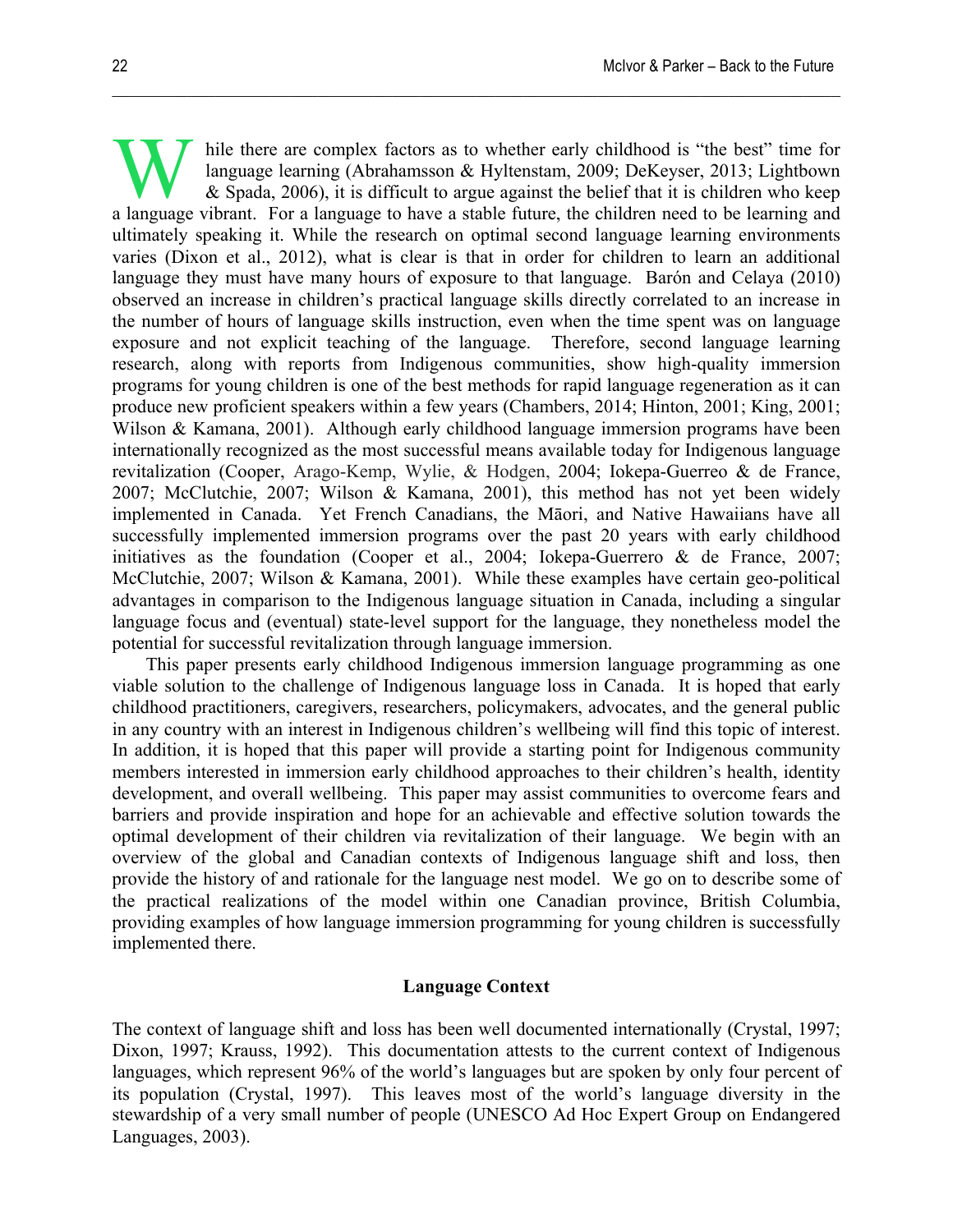hile there are complex factors as to whether early childhood is "the best" time for language learning (Abrahamsson & Hyltenstam, 2009; DeKeyser, 2013; Lightbown & Spada, 2006), it is difficult to argue against the belief that it is children who keep while there are complex factors as to whether early childhood is "the best" time for language learning (Abrahamsson & Hyltenstam, 2009; DeKeyser, 2013; Lightbown & Spada, 2006), it is difficult to argue against the belief ultimately speaking it. While the research on optimal second language learning environments varies (Dixon et al., 2012), what is clear is that in order for children to learn an additional language they must have many hours of exposure to that language. Barón and Celaya (2010) observed an increase in children's practical language skills directly correlated to an increase in the number of hours of language skills instruction, even when the time spent was on language exposure and not explicit teaching of the language. Therefore, second language learning research, along with reports from Indigenous communities, show high-quality immersion programs for young children is one of the best methods for rapid language regeneration as it can produce new proficient speakers within a few years (Chambers, 2014; Hinton, 2001; King, 2001; Wilson & Kamana, 2001). Although early childhood language immersion programs have been internationally recognized as the most successful means available today for Indigenous language revitalization (Cooper, Arago-Kemp, Wylie, & Hodgen, 2004; Iokepa-Guerreo & de France, 2007; McClutchie, 2007; Wilson & Kamana, 2001), this method has not yet been widely implemented in Canada. Yet French Canadians, the Māori, and Native Hawaiians have all successfully implemented immersion programs over the past 20 years with early childhood initiatives as the foundation (Cooper et al., 2004; Iokepa-Guerrero & de France, 2007; McClutchie, 2007; Wilson & Kamana, 2001). While these examples have certain geo-political advantages in comparison to the Indigenous language situation in Canada, including a singular language focus and (eventual) state-level support for the language, they nonetheless model the potential for successful revitalization through language immersion.

 $\mathcal{L}_\mathcal{L} = \{ \mathcal{L}_\mathcal{L} = \{ \mathcal{L}_\mathcal{L} = \{ \mathcal{L}_\mathcal{L} = \{ \mathcal{L}_\mathcal{L} = \{ \mathcal{L}_\mathcal{L} = \{ \mathcal{L}_\mathcal{L} = \{ \mathcal{L}_\mathcal{L} = \{ \mathcal{L}_\mathcal{L} = \{ \mathcal{L}_\mathcal{L} = \{ \mathcal{L}_\mathcal{L} = \{ \mathcal{L}_\mathcal{L} = \{ \mathcal{L}_\mathcal{L} = \{ \mathcal{L}_\mathcal{L} = \{ \mathcal{L}_\mathcal{$ 

This paper presents early childhood Indigenous immersion language programming as one viable solution to the challenge of Indigenous language loss in Canada. It is hoped that early childhood practitioners, caregivers, researchers, policymakers, advocates, and the general public in any country with an interest in Indigenous children's wellbeing will find this topic of interest. In addition, it is hoped that this paper will provide a starting point for Indigenous community members interested in immersion early childhood approaches to their children's health, identity development, and overall wellbeing. This paper may assist communities to overcome fears and barriers and provide inspiration and hope for an achievable and effective solution towards the optimal development of their children via revitalization of their language. We begin with an overview of the global and Canadian contexts of Indigenous language shift and loss, then provide the history of and rationale for the language nest model. We go on to describe some of the practical realizations of the model within one Canadian province, British Columbia, providing examples of how language immersion programming for young children is successfully implemented there.

# **Language Context**

The context of language shift and loss has been well documented internationally (Crystal, 1997; Dixon, 1997; Krauss, 1992). This documentation attests to the current context of Indigenous languages, which represent 96% of the world's languages but are spoken by only four percent of its population (Crystal, 1997). This leaves most of the world's language diversity in the stewardship of a very small number of people (UNESCO Ad Hoc Expert Group on Endangered Languages, 2003).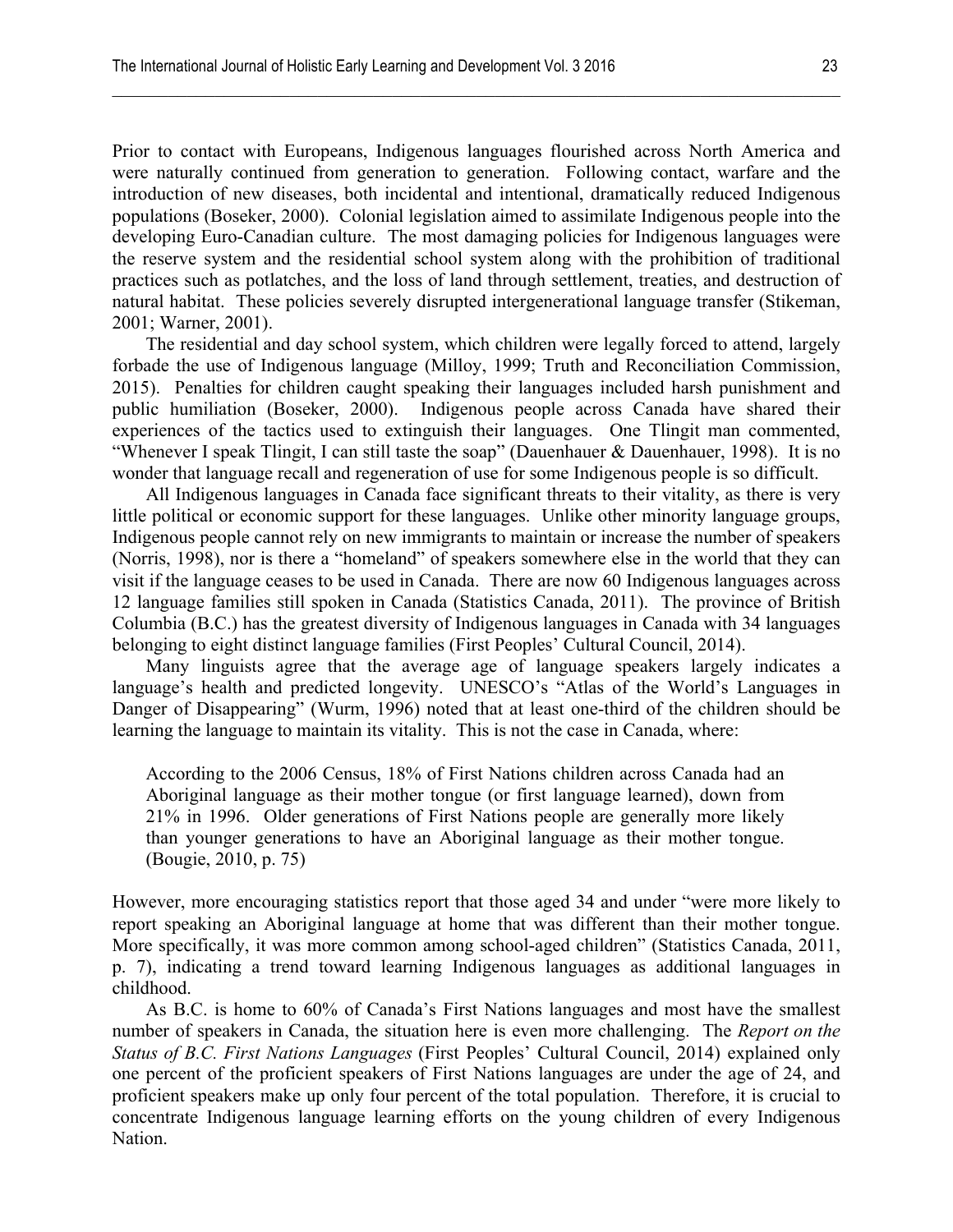Prior to contact with Europeans, Indigenous languages flourished across North America and were naturally continued from generation to generation. Following contact, warfare and the introduction of new diseases, both incidental and intentional, dramatically reduced Indigenous populations (Boseker, 2000). Colonial legislation aimed to assimilate Indigenous people into the developing Euro-Canadian culture. The most damaging policies for Indigenous languages were the reserve system and the residential school system along with the prohibition of traditional practices such as potlatches, and the loss of land through settlement, treaties, and destruction of natural habitat. These policies severely disrupted intergenerational language transfer (Stikeman, 2001; Warner, 2001).

 $\mathcal{L}_\mathcal{L} = \{ \mathcal{L}_\mathcal{L} = \{ \mathcal{L}_\mathcal{L} = \{ \mathcal{L}_\mathcal{L} = \{ \mathcal{L}_\mathcal{L} = \{ \mathcal{L}_\mathcal{L} = \{ \mathcal{L}_\mathcal{L} = \{ \mathcal{L}_\mathcal{L} = \{ \mathcal{L}_\mathcal{L} = \{ \mathcal{L}_\mathcal{L} = \{ \mathcal{L}_\mathcal{L} = \{ \mathcal{L}_\mathcal{L} = \{ \mathcal{L}_\mathcal{L} = \{ \mathcal{L}_\mathcal{L} = \{ \mathcal{L}_\mathcal{$ 

The residential and day school system, which children were legally forced to attend, largely forbade the use of Indigenous language (Milloy, 1999; Truth and Reconciliation Commission, 2015). Penalties for children caught speaking their languages included harsh punishment and public humiliation (Boseker, 2000). Indigenous people across Canada have shared their experiences of the tactics used to extinguish their languages. One Tlingit man commented, "Whenever I speak Tlingit, I can still taste the soap" (Dauenhauer & Dauenhauer, 1998). It is no wonder that language recall and regeneration of use for some Indigenous people is so difficult.

All Indigenous languages in Canada face significant threats to their vitality, as there is very little political or economic support for these languages. Unlike other minority language groups, Indigenous people cannot rely on new immigrants to maintain or increase the number of speakers (Norris, 1998), nor is there a "homeland" of speakers somewhere else in the world that they can visit if the language ceases to be used in Canada. There are now 60 Indigenous languages across 12 language families still spoken in Canada (Statistics Canada, 2011). The province of British Columbia (B.C.) has the greatest diversity of Indigenous languages in Canada with 34 languages belonging to eight distinct language families (First Peoples' Cultural Council, 2014).

Many linguists agree that the average age of language speakers largely indicates a language's health and predicted longevity. UNESCO's "Atlas of the World's Languages in Danger of Disappearing" (Wurm, 1996) noted that at least one-third of the children should be learning the language to maintain its vitality. This is not the case in Canada, where:

According to the 2006 Census, 18% of First Nations children across Canada had an Aboriginal language as their mother tongue (or first language learned), down from 21% in 1996. Older generations of First Nations people are generally more likely than younger generations to have an Aboriginal language as their mother tongue. (Bougie, 2010, p. 75)

However, more encouraging statistics report that those aged 34 and under "were more likely to report speaking an Aboriginal language at home that was different than their mother tongue. More specifically, it was more common among school-aged children" (Statistics Canada, 2011, p. 7), indicating a trend toward learning Indigenous languages as additional languages in childhood.

As B.C. is home to 60% of Canada's First Nations languages and most have the smallest number of speakers in Canada, the situation here is even more challenging. The *Report on the Status of B.C. First Nations Languages* (First Peoples' Cultural Council, 2014) explained only one percent of the proficient speakers of First Nations languages are under the age of 24, and proficient speakers make up only four percent of the total population. Therefore, it is crucial to concentrate Indigenous language learning efforts on the young children of every Indigenous Nation.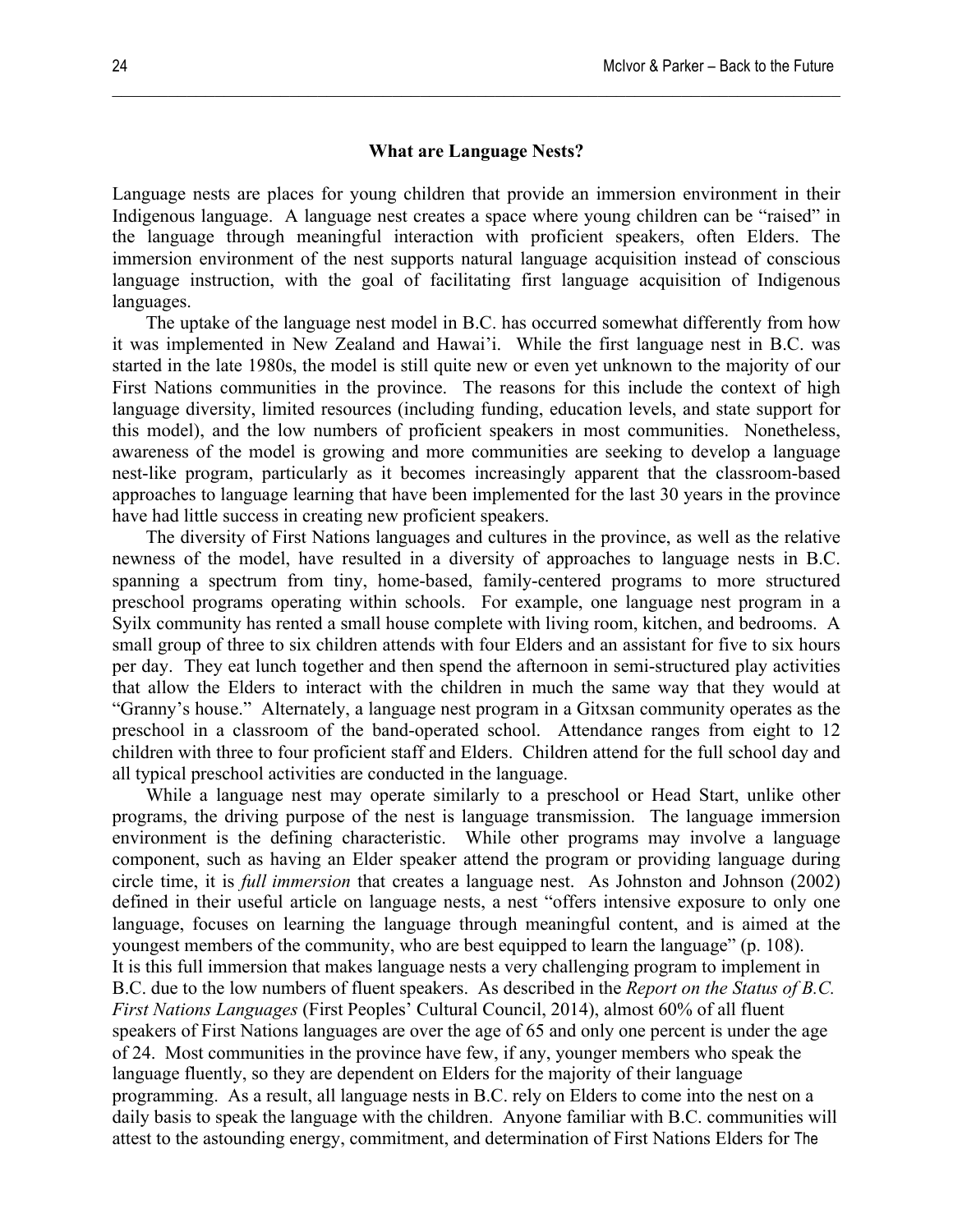#### **What are Language Nests?**

 $\mathcal{L}_\mathcal{L} = \{ \mathcal{L}_\mathcal{L} = \{ \mathcal{L}_\mathcal{L} = \{ \mathcal{L}_\mathcal{L} = \{ \mathcal{L}_\mathcal{L} = \{ \mathcal{L}_\mathcal{L} = \{ \mathcal{L}_\mathcal{L} = \{ \mathcal{L}_\mathcal{L} = \{ \mathcal{L}_\mathcal{L} = \{ \mathcal{L}_\mathcal{L} = \{ \mathcal{L}_\mathcal{L} = \{ \mathcal{L}_\mathcal{L} = \{ \mathcal{L}_\mathcal{L} = \{ \mathcal{L}_\mathcal{L} = \{ \mathcal{L}_\mathcal{$ 

Language nests are places for young children that provide an immersion environment in their Indigenous language. A language nest creates a space where young children can be "raised" in the language through meaningful interaction with proficient speakers, often Elders. The immersion environment of the nest supports natural language acquisition instead of conscious language instruction, with the goal of facilitating first language acquisition of Indigenous languages.

The uptake of the language nest model in B.C. has occurred somewhat differently from how it was implemented in New Zealand and Hawai'i. While the first language nest in B.C. was started in the late 1980s, the model is still quite new or even yet unknown to the majority of our First Nations communities in the province. The reasons for this include the context of high language diversity, limited resources (including funding, education levels, and state support for this model), and the low numbers of proficient speakers in most communities. Nonetheless, awareness of the model is growing and more communities are seeking to develop a language nest-like program, particularly as it becomes increasingly apparent that the classroom-based approaches to language learning that have been implemented for the last 30 years in the province have had little success in creating new proficient speakers.

The diversity of First Nations languages and cultures in the province, as well as the relative newness of the model, have resulted in a diversity of approaches to language nests in B.C. spanning a spectrum from tiny, home-based, family-centered programs to more structured preschool programs operating within schools. For example, one language nest program in a Syilx community has rented a small house complete with living room, kitchen, and bedrooms. A small group of three to six children attends with four Elders and an assistant for five to six hours per day. They eat lunch together and then spend the afternoon in semi-structured play activities that allow the Elders to interact with the children in much the same way that they would at "Granny's house." Alternately, a language nest program in a Gitxsan community operates as the preschool in a classroom of the band-operated school. Attendance ranges from eight to 12 children with three to four proficient staff and Elders. Children attend for the full school day and all typical preschool activities are conducted in the language.

While a language nest may operate similarly to a preschool or Head Start, unlike other programs, the driving purpose of the nest is language transmission. The language immersion environment is the defining characteristic. While other programs may involve a language component, such as having an Elder speaker attend the program or providing language during circle time, it is *full immersion* that creates a language nest. As Johnston and Johnson (2002) defined in their useful article on language nests, a nest "offers intensive exposure to only one language, focuses on learning the language through meaningful content, and is aimed at the youngest members of the community, who are best equipped to learn the language" (p. 108). It is this full immersion that makes language nests a very challenging program to implement in B.C. due to the low numbers of fluent speakers. As described in the *Report on the Status of B.C. First Nations Languages* (First Peoples' Cultural Council, 2014), almost 60% of all fluent speakers of First Nations languages are over the age of 65 and only one percent is under the age of 24. Most communities in the province have few, if any, younger members who speak the language fluently, so they are dependent on Elders for the majority of their language programming. As a result, all language nests in B.C. rely on Elders to come into the nest on a daily basis to speak the language with the children. Anyone familiar with B.C. communities will attest to the astounding energy, commitment, and determination of First Nations Elders for The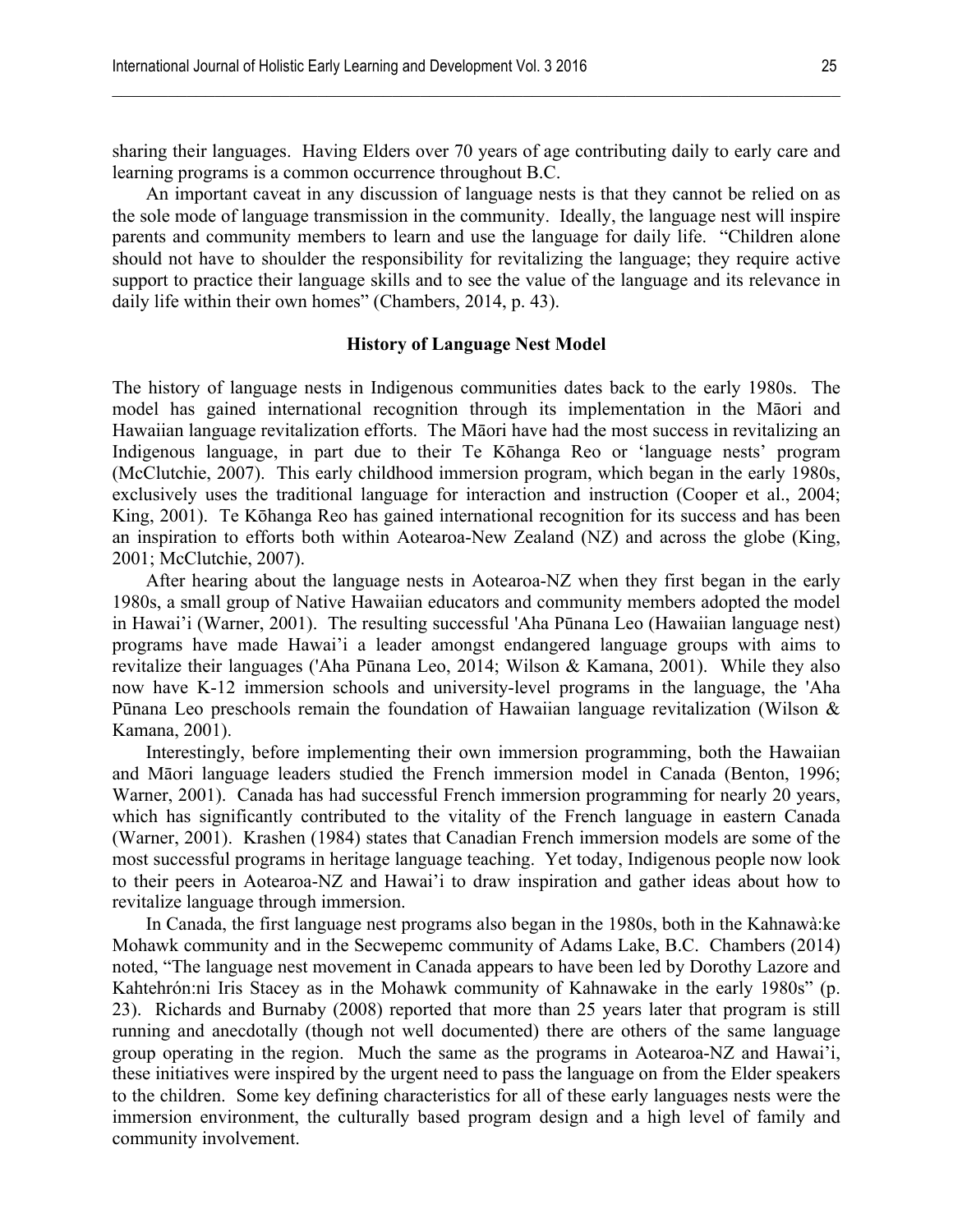sharing their languages. Having Elders over 70 years of age contributing daily to early care and learning programs is a common occurrence throughout B.C.

 $\mathcal{L}_\mathcal{L} = \{ \mathcal{L}_\mathcal{L} = \{ \mathcal{L}_\mathcal{L} = \{ \mathcal{L}_\mathcal{L} = \{ \mathcal{L}_\mathcal{L} = \{ \mathcal{L}_\mathcal{L} = \{ \mathcal{L}_\mathcal{L} = \{ \mathcal{L}_\mathcal{L} = \{ \mathcal{L}_\mathcal{L} = \{ \mathcal{L}_\mathcal{L} = \{ \mathcal{L}_\mathcal{L} = \{ \mathcal{L}_\mathcal{L} = \{ \mathcal{L}_\mathcal{L} = \{ \mathcal{L}_\mathcal{L} = \{ \mathcal{L}_\mathcal{$ 

An important caveat in any discussion of language nests is that they cannot be relied on as the sole mode of language transmission in the community. Ideally, the language nest will inspire parents and community members to learn and use the language for daily life. "Children alone should not have to shoulder the responsibility for revitalizing the language; they require active support to practice their language skills and to see the value of the language and its relevance in daily life within their own homes" (Chambers, 2014, p. 43).

# **History of Language Nest Model**

The history of language nests in Indigenous communities dates back to the early 1980s. The model has gained international recognition through its implementation in the Māori and Hawaiian language revitalization efforts. The Māori have had the most success in revitalizing an Indigenous language, in part due to their Te Kōhanga Reo or 'language nests' program (McClutchie, 2007). This early childhood immersion program, which began in the early 1980s, exclusively uses the traditional language for interaction and instruction (Cooper et al., 2004; King, 2001). Te Kōhanga Reo has gained international recognition for its success and has been an inspiration to efforts both within Aotearoa-New Zealand (NZ) and across the globe (King, 2001; McClutchie, 2007).

After hearing about the language nests in Aotearoa-NZ when they first began in the early 1980s, a small group of Native Hawaiian educators and community members adopted the model in Hawai'i (Warner, 2001). The resulting successful 'Aha Pūnana Leo (Hawaiian language nest) programs have made Hawai'i a leader amongst endangered language groups with aims to revitalize their languages ('Aha Pūnana Leo, 2014; Wilson & Kamana, 2001). While they also now have K-12 immersion schools and university-level programs in the language, the 'Aha Pūnana Leo preschools remain the foundation of Hawaiian language revitalization (Wilson & Kamana, 2001).

Interestingly, before implementing their own immersion programming, both the Hawaiian and Māori language leaders studied the French immersion model in Canada (Benton, 1996; Warner, 2001). Canada has had successful French immersion programming for nearly 20 years, which has significantly contributed to the vitality of the French language in eastern Canada (Warner, 2001). Krashen (1984) states that Canadian French immersion models are some of the most successful programs in heritage language teaching. Yet today, Indigenous people now look to their peers in Aotearoa-NZ and Hawai'i to draw inspiration and gather ideas about how to revitalize language through immersion.

In Canada, the first language nest programs also began in the 1980s, both in the Kahnawà:ke Mohawk community and in the Secwepemc community of Adams Lake, B.C. Chambers (2014) noted, "The language nest movement in Canada appears to have been led by Dorothy Lazore and Kahtehrón:ni Iris Stacey as in the Mohawk community of Kahnawake in the early 1980s" (p. 23). Richards and Burnaby (2008) reported that more than 25 years later that program is still running and anecdotally (though not well documented) there are others of the same language group operating in the region. Much the same as the programs in Aotearoa-NZ and Hawai'i, these initiatives were inspired by the urgent need to pass the language on from the Elder speakers to the children. Some key defining characteristics for all of these early languages nests were the immersion environment, the culturally based program design and a high level of family and community involvement.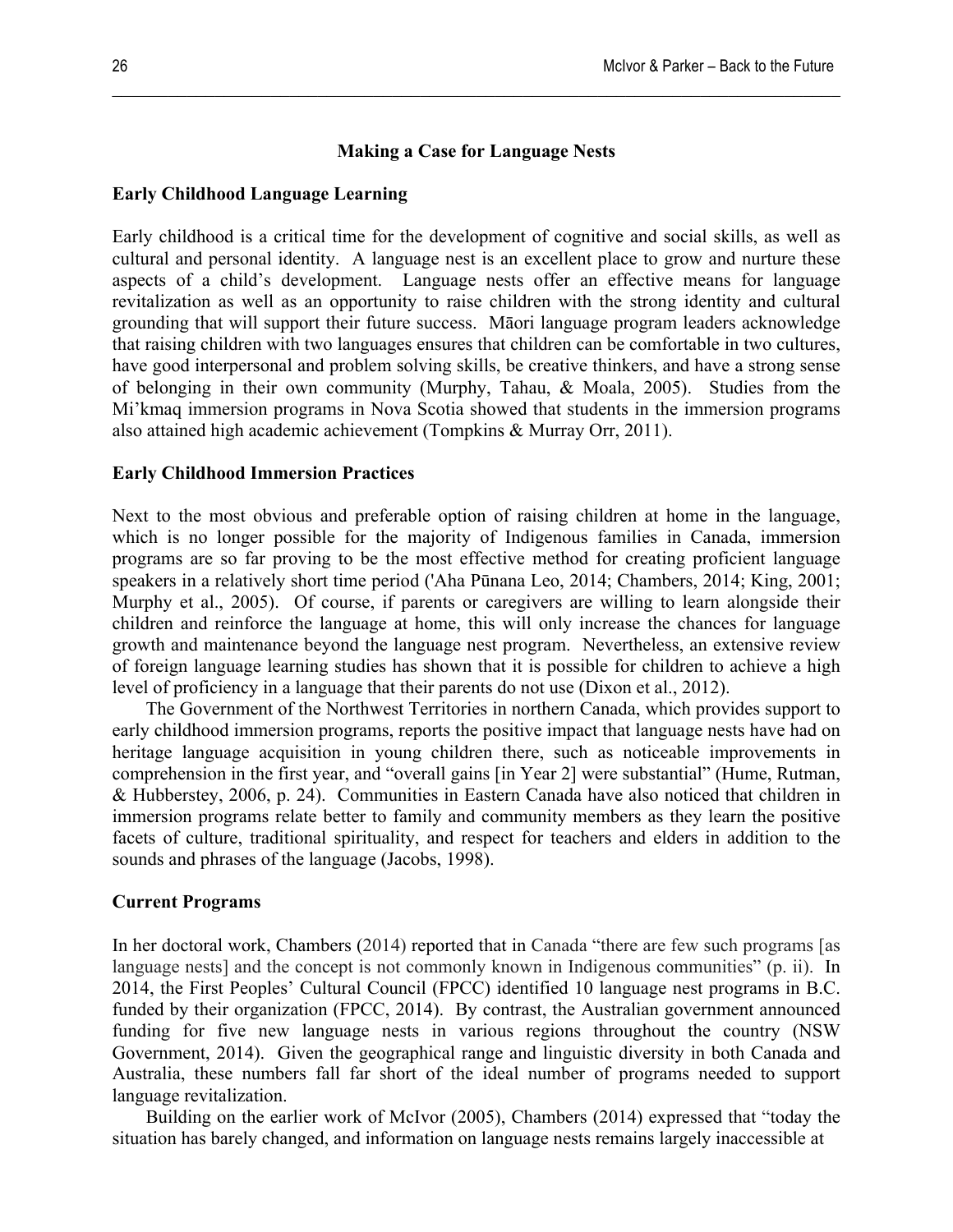### **Making a Case for Language Nests**

 $\mathcal{L}_\mathcal{L} = \{ \mathcal{L}_\mathcal{L} = \{ \mathcal{L}_\mathcal{L} = \{ \mathcal{L}_\mathcal{L} = \{ \mathcal{L}_\mathcal{L} = \{ \mathcal{L}_\mathcal{L} = \{ \mathcal{L}_\mathcal{L} = \{ \mathcal{L}_\mathcal{L} = \{ \mathcal{L}_\mathcal{L} = \{ \mathcal{L}_\mathcal{L} = \{ \mathcal{L}_\mathcal{L} = \{ \mathcal{L}_\mathcal{L} = \{ \mathcal{L}_\mathcal{L} = \{ \mathcal{L}_\mathcal{L} = \{ \mathcal{L}_\mathcal{$ 

# **Early Childhood Language Learning**

Early childhood is a critical time for the development of cognitive and social skills, as well as cultural and personal identity. A language nest is an excellent place to grow and nurture these aspects of a child's development. Language nests offer an effective means for language revitalization as well as an opportunity to raise children with the strong identity and cultural grounding that will support their future success. Māori language program leaders acknowledge that raising children with two languages ensures that children can be comfortable in two cultures, have good interpersonal and problem solving skills, be creative thinkers, and have a strong sense of belonging in their own community (Murphy, Tahau, & Moala, 2005). Studies from the Mi'kmaq immersion programs in Nova Scotia showed that students in the immersion programs also attained high academic achievement (Tompkins & Murray Orr, 2011).

#### **Early Childhood Immersion Practices**

Next to the most obvious and preferable option of raising children at home in the language, which is no longer possible for the majority of Indigenous families in Canada, immersion programs are so far proving to be the most effective method for creating proficient language speakers in a relatively short time period ('Aha Pūnana Leo, 2014; Chambers, 2014; King, 2001; Murphy et al., 2005). Of course, if parents or caregivers are willing to learn alongside their children and reinforce the language at home, this will only increase the chances for language growth and maintenance beyond the language nest program. Nevertheless, an extensive review of foreign language learning studies has shown that it is possible for children to achieve a high level of proficiency in a language that their parents do not use (Dixon et al., 2012).

The Government of the Northwest Territories in northern Canada, which provides support to early childhood immersion programs, reports the positive impact that language nests have had on heritage language acquisition in young children there, such as noticeable improvements in comprehension in the first year, and "overall gains [in Year 2] were substantial" (Hume, Rutman, & Hubberstey, 2006, p. 24). Communities in Eastern Canada have also noticed that children in immersion programs relate better to family and community members as they learn the positive facets of culture, traditional spirituality, and respect for teachers and elders in addition to the sounds and phrases of the language (Jacobs, 1998).

#### **Current Programs**

In her doctoral work, Chambers (2014) reported that in Canada "there are few such programs [as language nests] and the concept is not commonly known in Indigenous communities" (p. ii). In 2014, the First Peoples' Cultural Council (FPCC) identified 10 language nest programs in B.C. funded by their organization (FPCC, 2014). By contrast, the Australian government announced funding for five new language nests in various regions throughout the country (NSW Government, 2014). Given the geographical range and linguistic diversity in both Canada and Australia, these numbers fall far short of the ideal number of programs needed to support language revitalization.

Building on the earlier work of McIvor (2005), Chambers (2014) expressed that "today the situation has barely changed, and information on language nests remains largely inaccessible at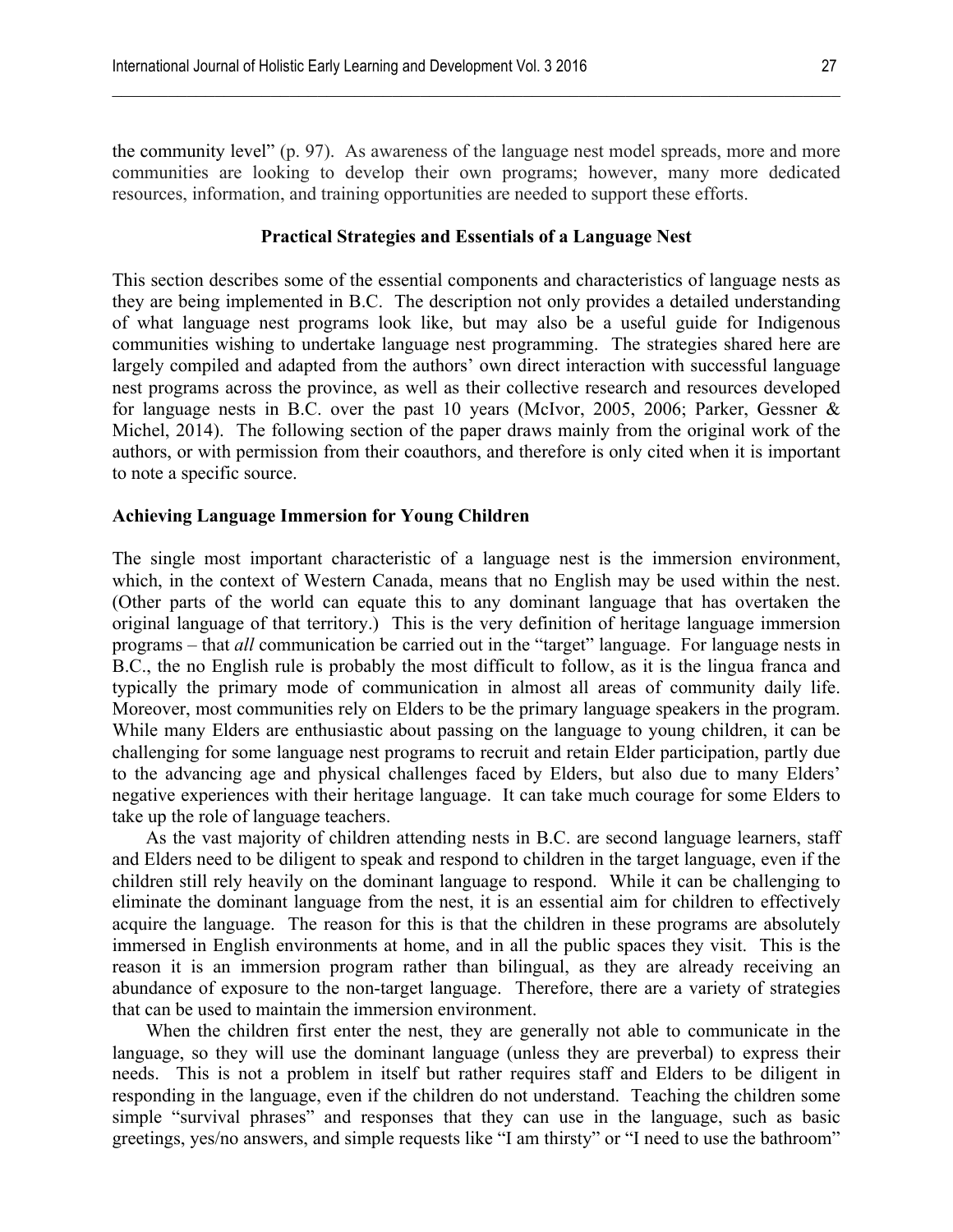the community level" (p. 97). As awareness of the language nest model spreads, more and more communities are looking to develop their own programs; however, many more dedicated resources, information, and training opportunities are needed to support these efforts.

 $\mathcal{L}_\mathcal{L} = \{ \mathcal{L}_\mathcal{L} = \{ \mathcal{L}_\mathcal{L} = \{ \mathcal{L}_\mathcal{L} = \{ \mathcal{L}_\mathcal{L} = \{ \mathcal{L}_\mathcal{L} = \{ \mathcal{L}_\mathcal{L} = \{ \mathcal{L}_\mathcal{L} = \{ \mathcal{L}_\mathcal{L} = \{ \mathcal{L}_\mathcal{L} = \{ \mathcal{L}_\mathcal{L} = \{ \mathcal{L}_\mathcal{L} = \{ \mathcal{L}_\mathcal{L} = \{ \mathcal{L}_\mathcal{L} = \{ \mathcal{L}_\mathcal{$ 

#### **Practical Strategies and Essentials of a Language Nest**

This section describes some of the essential components and characteristics of language nests as they are being implemented in B.C. The description not only provides a detailed understanding of what language nest programs look like, but may also be a useful guide for Indigenous communities wishing to undertake language nest programming. The strategies shared here are largely compiled and adapted from the authors' own direct interaction with successful language nest programs across the province, as well as their collective research and resources developed for language nests in B.C. over the past 10 years (McIvor, 2005, 2006; Parker, Gessner & Michel, 2014). The following section of the paper draws mainly from the original work of the authors, or with permission from their coauthors, and therefore is only cited when it is important to note a specific source.

#### **Achieving Language Immersion for Young Children**

The single most important characteristic of a language nest is the immersion environment, which, in the context of Western Canada, means that no English may be used within the nest. (Other parts of the world can equate this to any dominant language that has overtaken the original language of that territory.) This is the very definition of heritage language immersion programs – that *all* communication be carried out in the "target" language. For language nests in B.C., the no English rule is probably the most difficult to follow, as it is the lingua franca and typically the primary mode of communication in almost all areas of community daily life. Moreover, most communities rely on Elders to be the primary language speakers in the program. While many Elders are enthusiastic about passing on the language to young children, it can be challenging for some language nest programs to recruit and retain Elder participation, partly due to the advancing age and physical challenges faced by Elders, but also due to many Elders' negative experiences with their heritage language. It can take much courage for some Elders to take up the role of language teachers.

As the vast majority of children attending nests in B.C. are second language learners, staff and Elders need to be diligent to speak and respond to children in the target language, even if the children still rely heavily on the dominant language to respond. While it can be challenging to eliminate the dominant language from the nest, it is an essential aim for children to effectively acquire the language. The reason for this is that the children in these programs are absolutely immersed in English environments at home, and in all the public spaces they visit. This is the reason it is an immersion program rather than bilingual, as they are already receiving an abundance of exposure to the non-target language. Therefore, there are a variety of strategies that can be used to maintain the immersion environment.

When the children first enter the nest, they are generally not able to communicate in the language, so they will use the dominant language (unless they are preverbal) to express their needs. This is not a problem in itself but rather requires staff and Elders to be diligent in responding in the language, even if the children do not understand. Teaching the children some simple "survival phrases" and responses that they can use in the language, such as basic greetings, yes/no answers, and simple requests like "I am thirsty" or "I need to use the bathroom"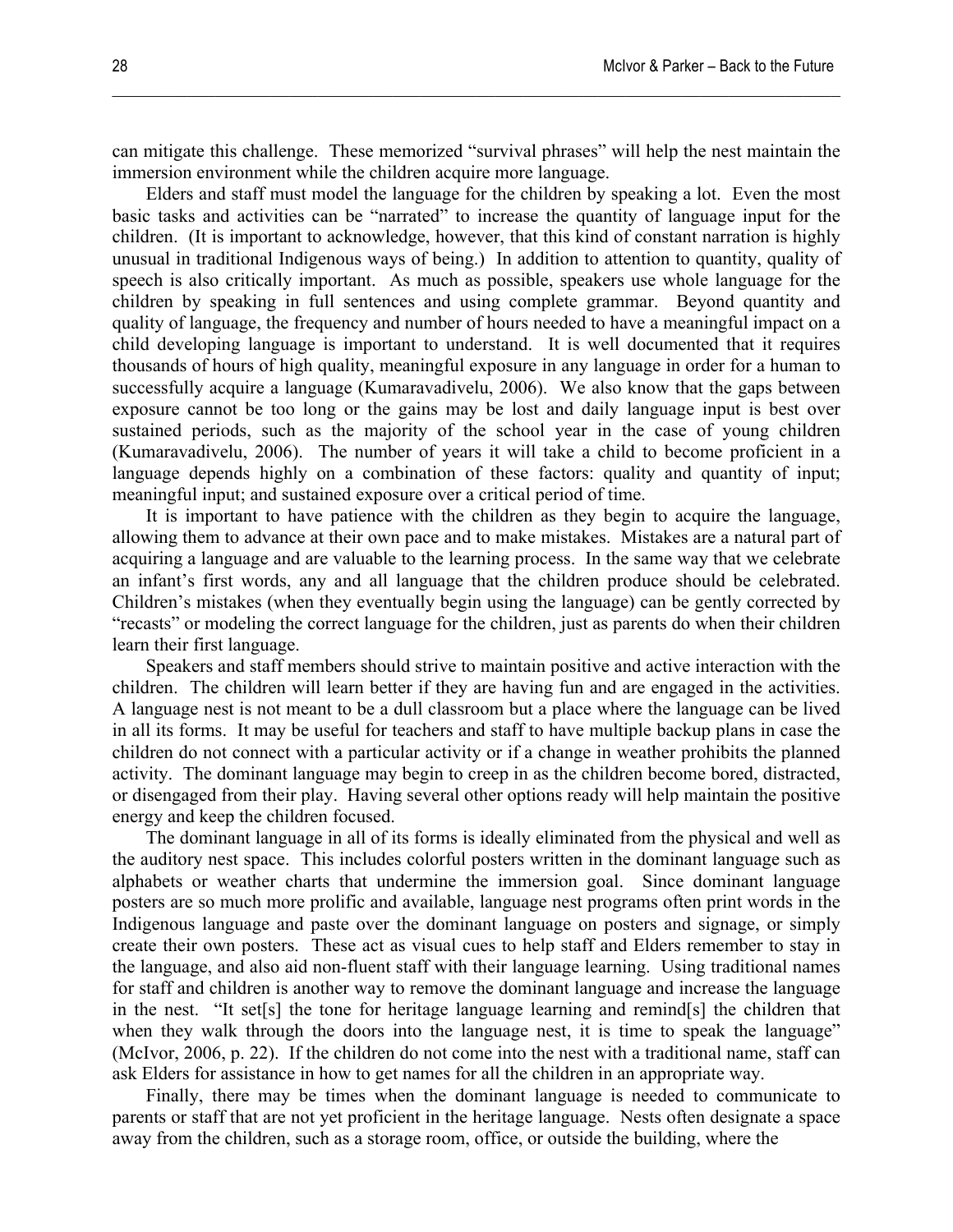can mitigate this challenge. These memorized "survival phrases" will help the nest maintain the immersion environment while the children acquire more language.

 $\mathcal{L}_\mathcal{L} = \{ \mathcal{L}_\mathcal{L} = \{ \mathcal{L}_\mathcal{L} = \{ \mathcal{L}_\mathcal{L} = \{ \mathcal{L}_\mathcal{L} = \{ \mathcal{L}_\mathcal{L} = \{ \mathcal{L}_\mathcal{L} = \{ \mathcal{L}_\mathcal{L} = \{ \mathcal{L}_\mathcal{L} = \{ \mathcal{L}_\mathcal{L} = \{ \mathcal{L}_\mathcal{L} = \{ \mathcal{L}_\mathcal{L} = \{ \mathcal{L}_\mathcal{L} = \{ \mathcal{L}_\mathcal{L} = \{ \mathcal{L}_\mathcal{$ 

Elders and staff must model the language for the children by speaking a lot. Even the most basic tasks and activities can be "narrated" to increase the quantity of language input for the children. (It is important to acknowledge, however, that this kind of constant narration is highly unusual in traditional Indigenous ways of being.) In addition to attention to quantity, quality of speech is also critically important. As much as possible, speakers use whole language for the children by speaking in full sentences and using complete grammar. Beyond quantity and quality of language, the frequency and number of hours needed to have a meaningful impact on a child developing language is important to understand. It is well documented that it requires thousands of hours of high quality, meaningful exposure in any language in order for a human to successfully acquire a language (Kumaravadivelu, 2006). We also know that the gaps between exposure cannot be too long or the gains may be lost and daily language input is best over sustained periods, such as the majority of the school year in the case of young children (Kumaravadivelu, 2006). The number of years it will take a child to become proficient in a language depends highly on a combination of these factors: quality and quantity of input; meaningful input; and sustained exposure over a critical period of time.

It is important to have patience with the children as they begin to acquire the language, allowing them to advance at their own pace and to make mistakes. Mistakes are a natural part of acquiring a language and are valuable to the learning process. In the same way that we celebrate an infant's first words, any and all language that the children produce should be celebrated. Children's mistakes (when they eventually begin using the language) can be gently corrected by "recasts" or modeling the correct language for the children, just as parents do when their children learn their first language.

Speakers and staff members should strive to maintain positive and active interaction with the children. The children will learn better if they are having fun and are engaged in the activities. A language nest is not meant to be a dull classroom but a place where the language can be lived in all its forms. It may be useful for teachers and staff to have multiple backup plans in case the children do not connect with a particular activity or if a change in weather prohibits the planned activity. The dominant language may begin to creep in as the children become bored, distracted, or disengaged from their play. Having several other options ready will help maintain the positive energy and keep the children focused.

The dominant language in all of its forms is ideally eliminated from the physical and well as the auditory nest space. This includes colorful posters written in the dominant language such as alphabets or weather charts that undermine the immersion goal. Since dominant language posters are so much more prolific and available, language nest programs often print words in the Indigenous language and paste over the dominant language on posters and signage, or simply create their own posters. These act as visual cues to help staff and Elders remember to stay in the language, and also aid non-fluent staff with their language learning. Using traditional names for staff and children is another way to remove the dominant language and increase the language in the nest. "It set[s] the tone for heritage language learning and remind[s] the children that when they walk through the doors into the language nest, it is time to speak the language" (McIvor, 2006, p. 22). If the children do not come into the nest with a traditional name, staff can ask Elders for assistance in how to get names for all the children in an appropriate way.

Finally, there may be times when the dominant language is needed to communicate to parents or staff that are not yet proficient in the heritage language. Nests often designate a space away from the children, such as a storage room, office, or outside the building, where the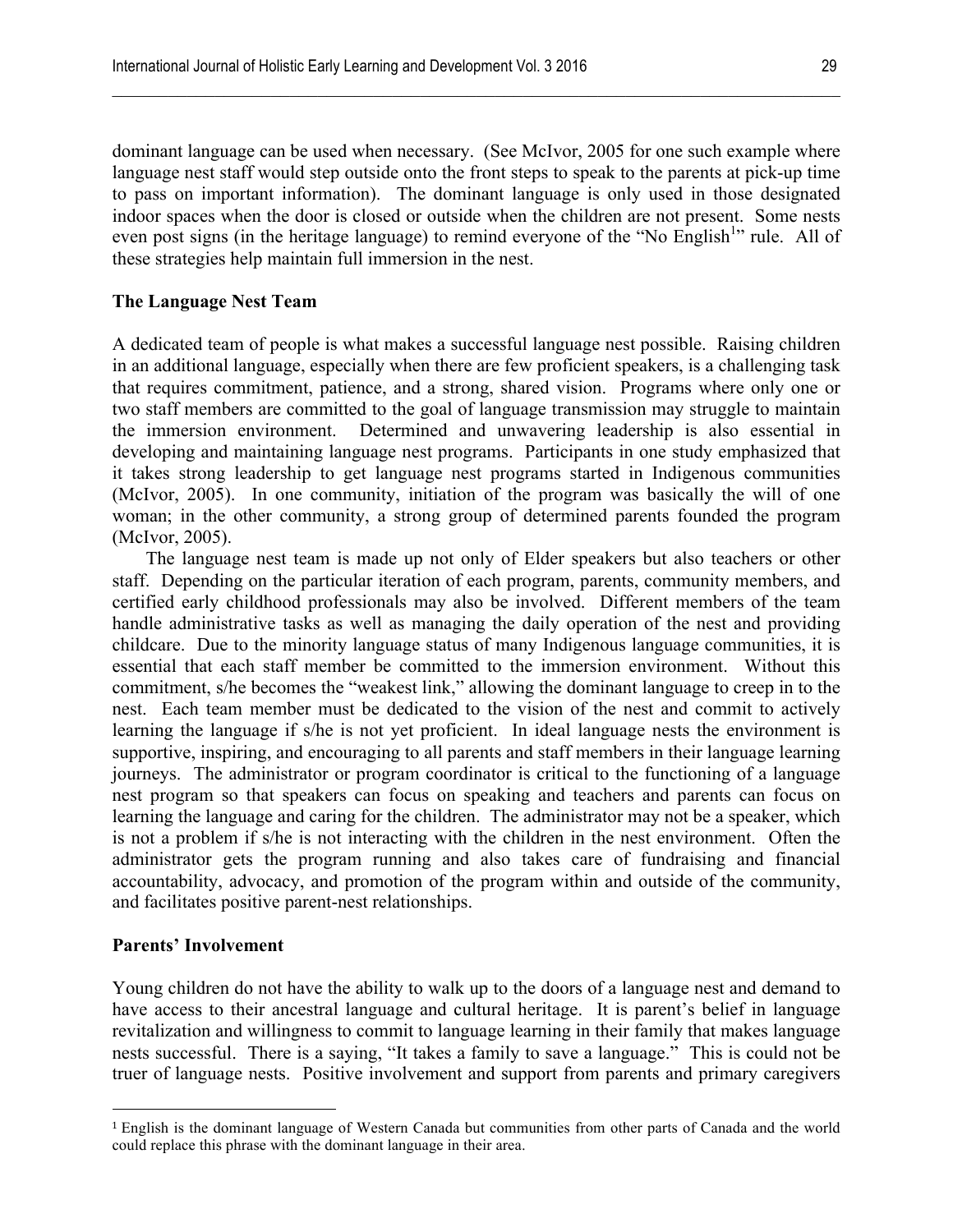dominant language can be used when necessary. (See McIvor, 2005 for one such example where language nest staff would step outside onto the front steps to speak to the parents at pick-up time to pass on important information). The dominant language is only used in those designated indoor spaces when the door is closed or outside when the children are not present. Some nests even post signs (in the heritage language) to remind everyone of the "No English<sup>1</sup>" rule. All of these strategies help maintain full immersion in the nest.

 $\mathcal{L}_\mathcal{L} = \{ \mathcal{L}_\mathcal{L} = \{ \mathcal{L}_\mathcal{L} = \{ \mathcal{L}_\mathcal{L} = \{ \mathcal{L}_\mathcal{L} = \{ \mathcal{L}_\mathcal{L} = \{ \mathcal{L}_\mathcal{L} = \{ \mathcal{L}_\mathcal{L} = \{ \mathcal{L}_\mathcal{L} = \{ \mathcal{L}_\mathcal{L} = \{ \mathcal{L}_\mathcal{L} = \{ \mathcal{L}_\mathcal{L} = \{ \mathcal{L}_\mathcal{L} = \{ \mathcal{L}_\mathcal{L} = \{ \mathcal{L}_\mathcal{$ 

# **The Language Nest Team**

A dedicated team of people is what makes a successful language nest possible. Raising children in an additional language, especially when there are few proficient speakers, is a challenging task that requires commitment, patience, and a strong, shared vision. Programs where only one or two staff members are committed to the goal of language transmission may struggle to maintain the immersion environment. Determined and unwavering leadership is also essential in developing and maintaining language nest programs. Participants in one study emphasized that it takes strong leadership to get language nest programs started in Indigenous communities (McIvor, 2005). In one community, initiation of the program was basically the will of one woman; in the other community, a strong group of determined parents founded the program (McIvor, 2005).

The language nest team is made up not only of Elder speakers but also teachers or other staff. Depending on the particular iteration of each program, parents, community members, and certified early childhood professionals may also be involved. Different members of the team handle administrative tasks as well as managing the daily operation of the nest and providing childcare. Due to the minority language status of many Indigenous language communities, it is essential that each staff member be committed to the immersion environment. Without this commitment, s/he becomes the "weakest link," allowing the dominant language to creep in to the nest. Each team member must be dedicated to the vision of the nest and commit to actively learning the language if s/he is not yet proficient. In ideal language nests the environment is supportive, inspiring, and encouraging to all parents and staff members in their language learning journeys. The administrator or program coordinator is critical to the functioning of a language nest program so that speakers can focus on speaking and teachers and parents can focus on learning the language and caring for the children. The administrator may not be a speaker, which is not a problem if s/he is not interacting with the children in the nest environment. Often the administrator gets the program running and also takes care of fundraising and financial accountability, advocacy, and promotion of the program within and outside of the community, and facilitates positive parent-nest relationships.

# **Parents' Involvement**

!!!!!!!!!!!!!!!!!!!!!!!!!!!!!!!!!!!!!!!!!!!!!!!!!!!!!!!

Young children do not have the ability to walk up to the doors of a language nest and demand to have access to their ancestral language and cultural heritage. It is parent's belief in language revitalization and willingness to commit to language learning in their family that makes language nests successful. There is a saying, "It takes a family to save a language." This is could not be truer of language nests. Positive involvement and support from parents and primary caregivers

<sup>1</sup> English is the dominant language of Western Canada but communities from other parts of Canada and the world could replace this phrase with the dominant language in their area.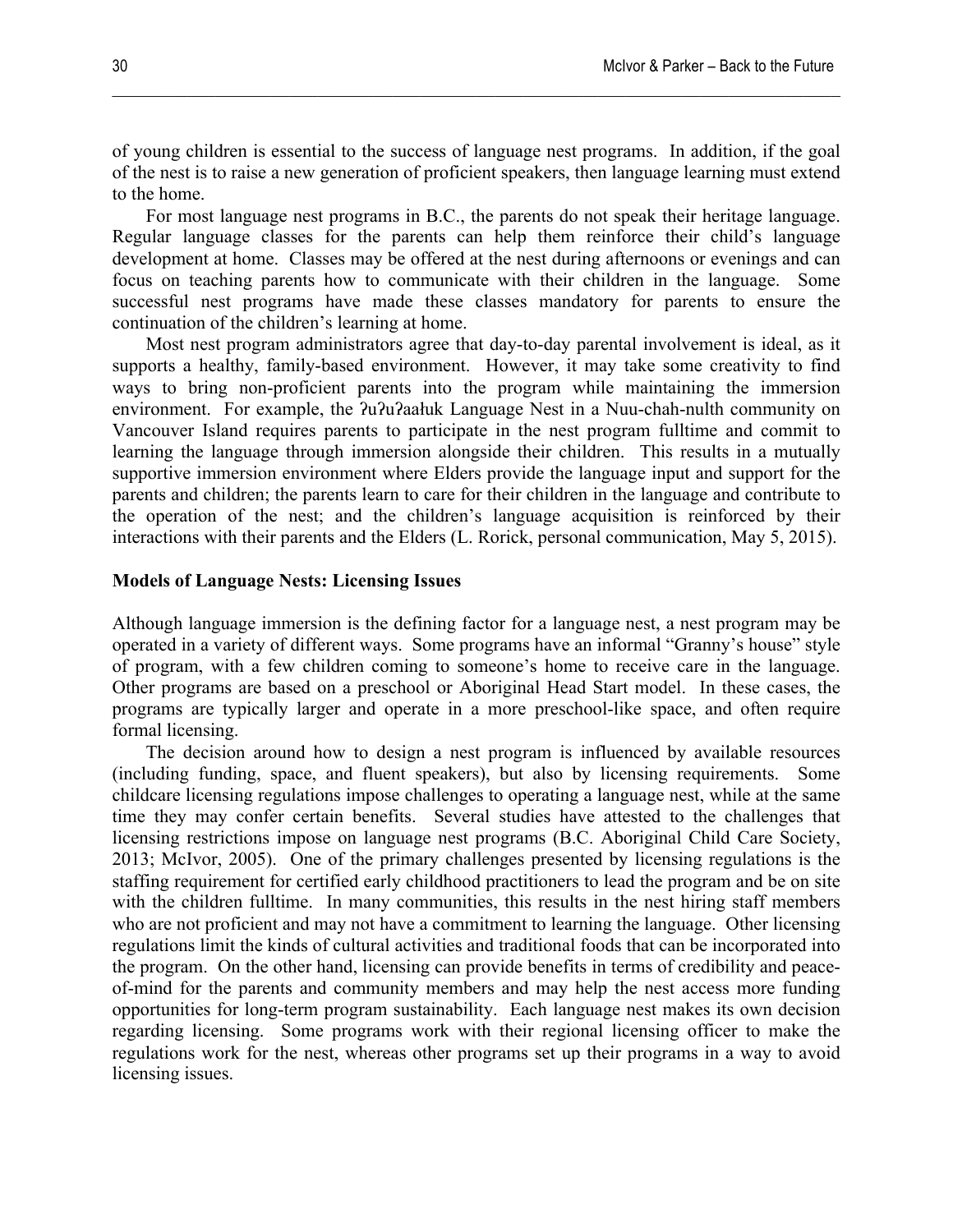of young children is essential to the success of language nest programs. In addition, if the goal of the nest is to raise a new generation of proficient speakers, then language learning must extend to the home.

 $\mathcal{L}_\mathcal{L} = \{ \mathcal{L}_\mathcal{L} = \{ \mathcal{L}_\mathcal{L} = \{ \mathcal{L}_\mathcal{L} = \{ \mathcal{L}_\mathcal{L} = \{ \mathcal{L}_\mathcal{L} = \{ \mathcal{L}_\mathcal{L} = \{ \mathcal{L}_\mathcal{L} = \{ \mathcal{L}_\mathcal{L} = \{ \mathcal{L}_\mathcal{L} = \{ \mathcal{L}_\mathcal{L} = \{ \mathcal{L}_\mathcal{L} = \{ \mathcal{L}_\mathcal{L} = \{ \mathcal{L}_\mathcal{L} = \{ \mathcal{L}_\mathcal{$ 

For most language nest programs in B.C., the parents do not speak their heritage language. Regular language classes for the parents can help them reinforce their child's language development at home. Classes may be offered at the nest during afternoons or evenings and can focus on teaching parents how to communicate with their children in the language. Some successful nest programs have made these classes mandatory for parents to ensure the continuation of the children's learning at home.

Most nest program administrators agree that day-to-day parental involvement is ideal, as it supports a healthy, family-based environment. However, it may take some creativity to find ways to bring non-proficient parents into the program while maintaining the immersion environment. For example, the  $2u^2u^2$ aałuk Language Nest in a Nuu-chah-nulth community on Vancouver Island requires parents to participate in the nest program fulltime and commit to learning the language through immersion alongside their children. This results in a mutually supportive immersion environment where Elders provide the language input and support for the parents and children; the parents learn to care for their children in the language and contribute to the operation of the nest; and the children's language acquisition is reinforced by their interactions with their parents and the Elders (L. Rorick, personal communication, May 5, 2015).

# **Models of Language Nests: Licensing Issues**

Although language immersion is the defining factor for a language nest, a nest program may be operated in a variety of different ways. Some programs have an informal "Granny's house" style of program, with a few children coming to someone's home to receive care in the language. Other programs are based on a preschool or Aboriginal Head Start model. In these cases, the programs are typically larger and operate in a more preschool-like space, and often require formal licensing.

The decision around how to design a nest program is influenced by available resources (including funding, space, and fluent speakers), but also by licensing requirements. Some childcare licensing regulations impose challenges to operating a language nest, while at the same time they may confer certain benefits. Several studies have attested to the challenges that licensing restrictions impose on language nest programs (B.C. Aboriginal Child Care Society, 2013; McIvor, 2005). One of the primary challenges presented by licensing regulations is the staffing requirement for certified early childhood practitioners to lead the program and be on site with the children fulltime. In many communities, this results in the nest hiring staff members who are not proficient and may not have a commitment to learning the language. Other licensing regulations limit the kinds of cultural activities and traditional foods that can be incorporated into the program. On the other hand, licensing can provide benefits in terms of credibility and peaceof-mind for the parents and community members and may help the nest access more funding opportunities for long-term program sustainability. Each language nest makes its own decision regarding licensing. Some programs work with their regional licensing officer to make the regulations work for the nest, whereas other programs set up their programs in a way to avoid licensing issues.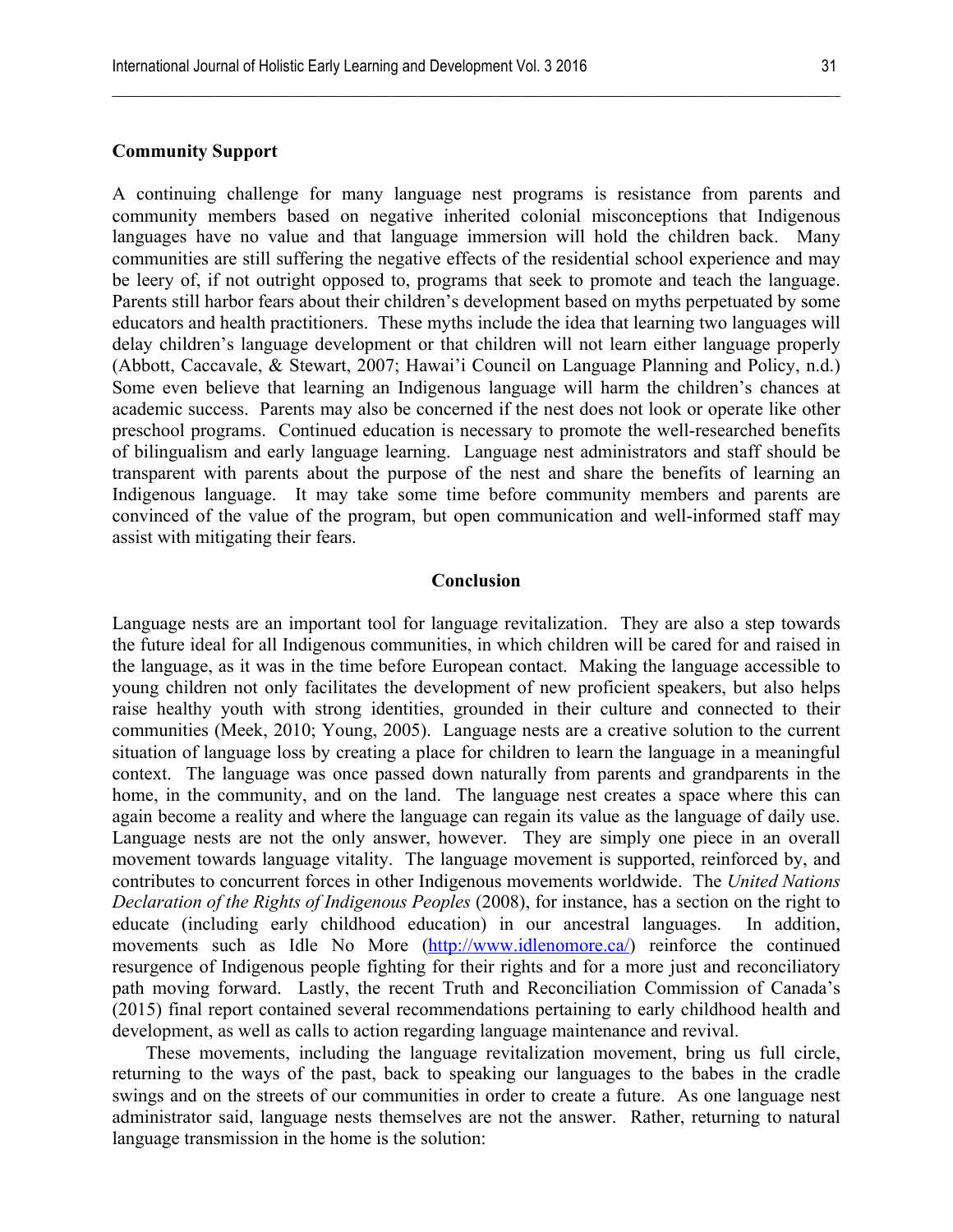# **Community Support**

A continuing challenge for many language nest programs is resistance from parents and community members based on negative inherited colonial misconceptions that Indigenous languages have no value and that language immersion will hold the children back. Many communities are still suffering the negative effects of the residential school experience and may be leery of, if not outright opposed to, programs that seek to promote and teach the language. Parents still harbor fears about their children's development based on myths perpetuated by some educators and health practitioners. These myths include the idea that learning two languages will delay children's language development or that children will not learn either language properly (Abbott, Caccavale, & Stewart, 2007; Hawai'i Council on Language Planning and Policy, n.d.) Some even believe that learning an Indigenous language will harm the children's chances at academic success. Parents may also be concerned if the nest does not look or operate like other preschool programs. Continued education is necessary to promote the well-researched benefits of bilingualism and early language learning. Language nest administrators and staff should be transparent with parents about the purpose of the nest and share the benefits of learning an Indigenous language. It may take some time before community members and parents are convinced of the value of the program, but open communication and well-informed staff may assist with mitigating their fears.

 $\mathcal{L}_\mathcal{L} = \{ \mathcal{L}_\mathcal{L} = \{ \mathcal{L}_\mathcal{L} = \{ \mathcal{L}_\mathcal{L} = \{ \mathcal{L}_\mathcal{L} = \{ \mathcal{L}_\mathcal{L} = \{ \mathcal{L}_\mathcal{L} = \{ \mathcal{L}_\mathcal{L} = \{ \mathcal{L}_\mathcal{L} = \{ \mathcal{L}_\mathcal{L} = \{ \mathcal{L}_\mathcal{L} = \{ \mathcal{L}_\mathcal{L} = \{ \mathcal{L}_\mathcal{L} = \{ \mathcal{L}_\mathcal{L} = \{ \mathcal{L}_\mathcal{$ 

# **Conclusion**

Language nests are an important tool for language revitalization. They are also a step towards the future ideal for all Indigenous communities, in which children will be cared for and raised in the language, as it was in the time before European contact. Making the language accessible to young children not only facilitates the development of new proficient speakers, but also helps raise healthy youth with strong identities, grounded in their culture and connected to their communities (Meek, 2010; Young, 2005). Language nests are a creative solution to the current situation of language loss by creating a place for children to learn the language in a meaningful context. The language was once passed down naturally from parents and grandparents in the home, in the community, and on the land. The language nest creates a space where this can again become a reality and where the language can regain its value as the language of daily use. Language nests are not the only answer, however. They are simply one piece in an overall movement towards language vitality. The language movement is supported, reinforced by, and contributes to concurrent forces in other Indigenous movements worldwide. The *United Nations Declaration of the Rights of Indigenous Peoples* (2008), for instance, has a section on the right to educate (including early childhood education) in our ancestral languages. In addition, movements such as Idle No More (http://www.idlenomore.ca/) reinforce the continued resurgence of Indigenous people fighting for their rights and for a more just and reconciliatory path moving forward. Lastly, the recent Truth and Reconciliation Commission of Canada's (2015) final report contained several recommendations pertaining to early childhood health and development, as well as calls to action regarding language maintenance and revival.

These movements, including the language revitalization movement, bring us full circle, returning to the ways of the past, back to speaking our languages to the babes in the cradle swings and on the streets of our communities in order to create a future. As one language nest administrator said, language nests themselves are not the answer. Rather, returning to natural language transmission in the home is the solution: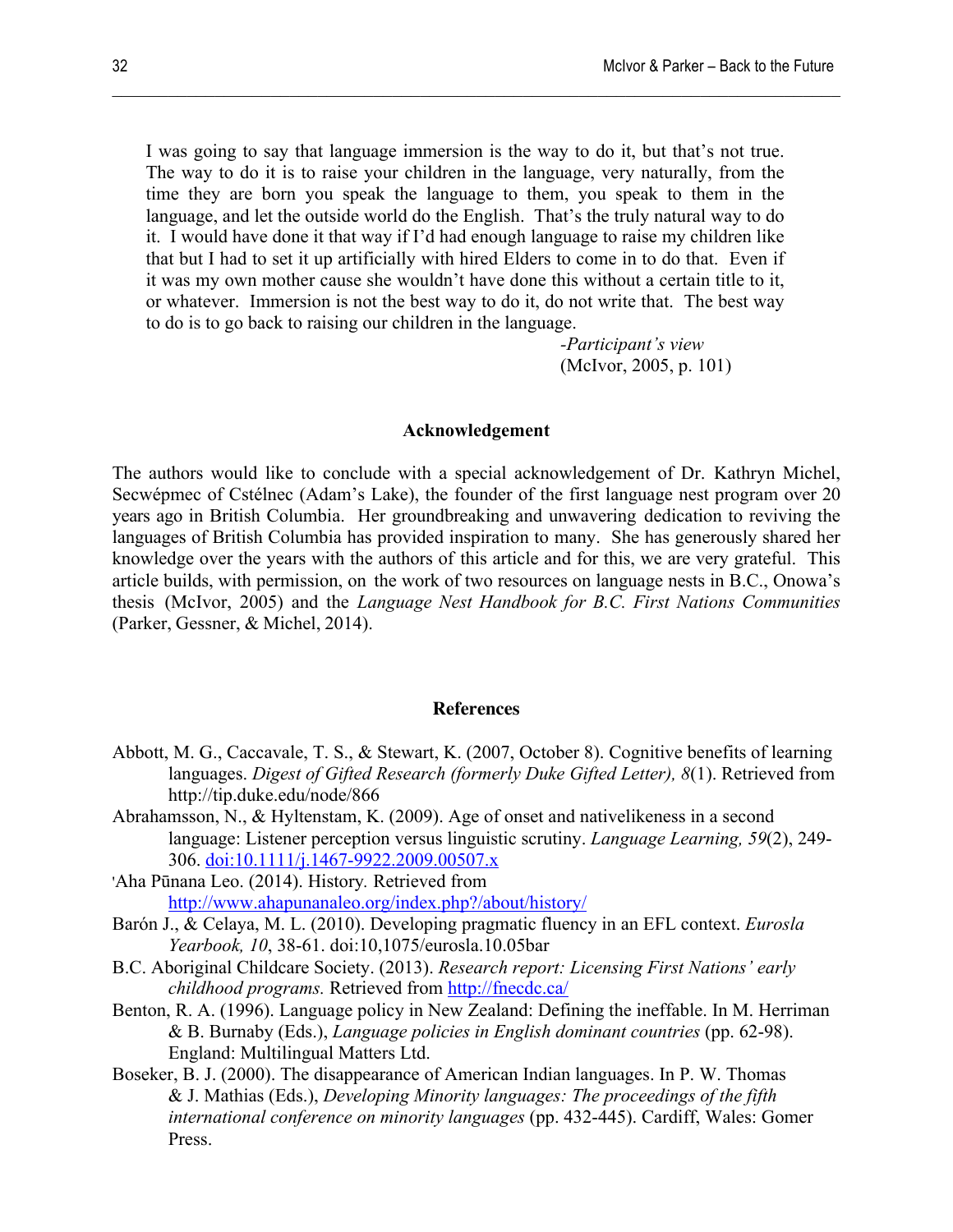I was going to say that language immersion is the way to do it, but that's not true. The way to do it is to raise your children in the language, very naturally, from the time they are born you speak the language to them, you speak to them in the language, and let the outside world do the English. That's the truly natural way to do it. I would have done it that way if I'd had enough language to raise my children like that but I had to set it up artificially with hired Elders to come in to do that. Even if it was my own mother cause she wouldn't have done this without a certain title to it, or whatever. Immersion is not the best way to do it, do not write that. The best way to do is to go back to raising our children in the language.

 $\mathcal{L}_\mathcal{L} = \{ \mathcal{L}_\mathcal{L} = \{ \mathcal{L}_\mathcal{L} = \{ \mathcal{L}_\mathcal{L} = \{ \mathcal{L}_\mathcal{L} = \{ \mathcal{L}_\mathcal{L} = \{ \mathcal{L}_\mathcal{L} = \{ \mathcal{L}_\mathcal{L} = \{ \mathcal{L}_\mathcal{L} = \{ \mathcal{L}_\mathcal{L} = \{ \mathcal{L}_\mathcal{L} = \{ \mathcal{L}_\mathcal{L} = \{ \mathcal{L}_\mathcal{L} = \{ \mathcal{L}_\mathcal{L} = \{ \mathcal{L}_\mathcal{$ 

*-Participant's view* (McIvor, 2005, p. 101)

#### **Acknowledgement**

The authors would like to conclude with a special acknowledgement of Dr. Kathryn Michel, Secwépmec of Cstélnec (Adam's Lake), the founder of the first language nest program over 20 years ago in British Columbia. Her groundbreaking and unwavering dedication to reviving the languages of British Columbia has provided inspiration to many. She has generously shared her knowledge over the years with the authors of this article and for this, we are very grateful. This article builds, with permission, on the work of two resources on language nests in B.C., Onowa's thesis (McIvor, 2005) and the *Language Nest Handbook for B.C. First Nations Communities* (Parker, Gessner, & Michel, 2014).

#### **References**

- Abbott, M. G., Caccavale, T. S., & Stewart, K. (2007, October 8). Cognitive benefits of learning languages. *Digest of Gifted Research (formerly Duke Gifted Letter), 8*(1). Retrieved from http://tip.duke.edu/node/866
- Abrahamsson, N., & Hyltenstam, K. (2009). Age of onset and nativelikeness in a second language: Listener perception versus linguistic scrutiny. *Language Learning, 59*(2), 249- 306. doi:10.1111/j.1467-9922.2009.00507.x
- 'Aha Pūnana Leo. (2014). History*.* Retrieved from http://www.ahapunanaleo.org/index.php?/about/history/
- Barón J., & Celaya, M. L. (2010). Developing pragmatic fluency in an EFL context. *Eurosla Yearbook, 10*, 38-61. doi:10,1075/eurosla.10.05bar
- B.C. Aboriginal Childcare Society. (2013). *Research report: Licensing First Nations' early childhood programs.* Retrieved from http://fnecdc.ca/
- Benton, R. A. (1996). Language policy in New Zealand: Defining the ineffable. In M. Herriman & B. Burnaby (Eds.), *Language policies in English dominant countries* (pp. 62-98). England: Multilingual Matters Ltd.
- Boseker, B. J. (2000). The disappearance of American Indian languages. In P. W. Thomas & J. Mathias (Eds.), *Developing Minority languages: The proceedings of the fifth international conference on minority languages* (pp. 432-445). Cardiff, Wales: Gomer Press.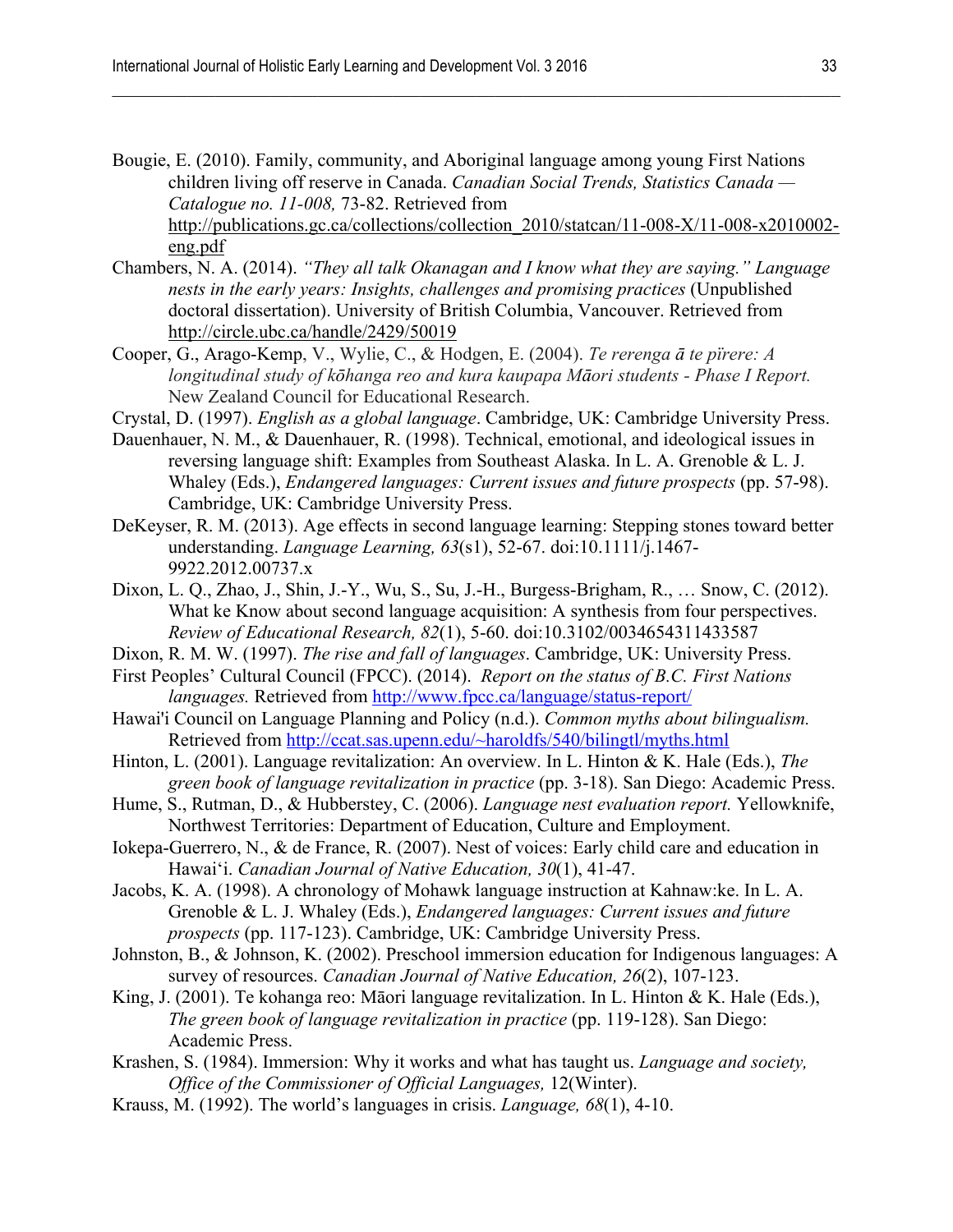Bougie, E. (2010). Family, community, and Aboriginal language among young First Nations children living off reserve in Canada. *Canadian Social Trends, Statistics Canada — Catalogue no. 11-008,* 73-82. Retrieved from http://publications.gc.ca/collections/collection\_2010/statcan/11-008-X/11-008-x2010002 eng.pdf

 $\mathcal{L}_\mathcal{L} = \{ \mathcal{L}_\mathcal{L} = \{ \mathcal{L}_\mathcal{L} = \{ \mathcal{L}_\mathcal{L} = \{ \mathcal{L}_\mathcal{L} = \{ \mathcal{L}_\mathcal{L} = \{ \mathcal{L}_\mathcal{L} = \{ \mathcal{L}_\mathcal{L} = \{ \mathcal{L}_\mathcal{L} = \{ \mathcal{L}_\mathcal{L} = \{ \mathcal{L}_\mathcal{L} = \{ \mathcal{L}_\mathcal{L} = \{ \mathcal{L}_\mathcal{L} = \{ \mathcal{L}_\mathcal{L} = \{ \mathcal{L}_\mathcal{$ 

- Chambers, N. A. (2014). *"They all talk Okanagan and I know what they are saying." Language nests in the early years: Insights, challenges and promising practices* (Unpublished doctoral dissertation). University of British Columbia, Vancouver. Retrieved from http://circle.ubc.ca/handle/2429/50019
- Cooper, G., Arago-Kemp, V., Wylie, C., & Hodgen, E. (2004). *Te rerenga ā te pïrere: A longitudinal study of kōhanga reo and kura kaupapa Māori students - Phase I Report.*  New Zealand Council for Educational Research.
- Crystal, D. (1997). *English as a global language*. Cambridge, UK: Cambridge University Press.
- Dauenhauer, N. M., & Dauenhauer, R. (1998). Technical, emotional, and ideological issues in reversing language shift: Examples from Southeast Alaska. In L. A. Grenoble & L. J. Whaley (Eds.), *Endangered languages: Current issues and future prospects* (pp. 57-98). Cambridge, UK: Cambridge University Press.
- DeKeyser, R. M. (2013). Age effects in second language learning: Stepping stones toward better understanding. *Language Learning, 63*(s1), 52-67. doi:10.1111/j.1467- 9922.2012.00737.x
- Dixon, L. Q., Zhao, J., Shin, J.-Y., Wu, S., Su, J.-H., Burgess-Brigham, R., … Snow, C. (2012). What ke Know about second language acquisition: A synthesis from four perspectives. *Review of Educational Research, 82*(1), 5-60. doi:10.3102/0034654311433587
- Dixon, R. M. W. (1997). *The rise and fall of languages*. Cambridge, UK: University Press.
- First Peoples' Cultural Council (FPCC). (2014). *Report on the status of B.C. First Nations languages.* Retrieved from http://www.fpcc.ca/language/status-report/
- Hawai'i Council on Language Planning and Policy (n.d.). *Common myths about bilingualism.*  Retrieved from http://ccat.sas.upenn.edu/~haroldfs/540/bilingtl/myths.html
- Hinton, L. (2001). Language revitalization: An overview. In L. Hinton & K. Hale (Eds.), *The green book of language revitalization in practice* (pp. 3-18). San Diego: Academic Press.
- Hume, S., Rutman, D., & Hubberstey, C. (2006). *Language nest evaluation report.* Yellowknife, Northwest Territories: Department of Education, Culture and Employment.
- Iokepa-Guerrero, N., & de France, R. (2007). Nest of voices: Early child care and education in Hawai'i. *Canadian Journal of Native Education, 30*(1), 41-47.
- Jacobs, K. A. (1998). A chronology of Mohawk language instruction at Kahnaw:ke. In L. A. Grenoble & L. J. Whaley (Eds.), *Endangered languages: Current issues and future prospects* (pp. 117-123). Cambridge, UK: Cambridge University Press.
- Johnston, B., & Johnson, K. (2002). Preschool immersion education for Indigenous languages: A survey of resources. *Canadian Journal of Native Education, 26*(2), 107-123.
- King, J. (2001). Te kohanga reo: Māori language revitalization. In L. Hinton & K. Hale (Eds.), *The green book of language revitalization in practice* (pp. 119-128). San Diego: Academic Press.
- Krashen, S. (1984). Immersion: Why it works and what has taught us. *Language and society, Office of the Commissioner of Official Languages,* 12(Winter).
- Krauss, M. (1992). The world's languages in crisis. *Language, 68*(1), 4-10.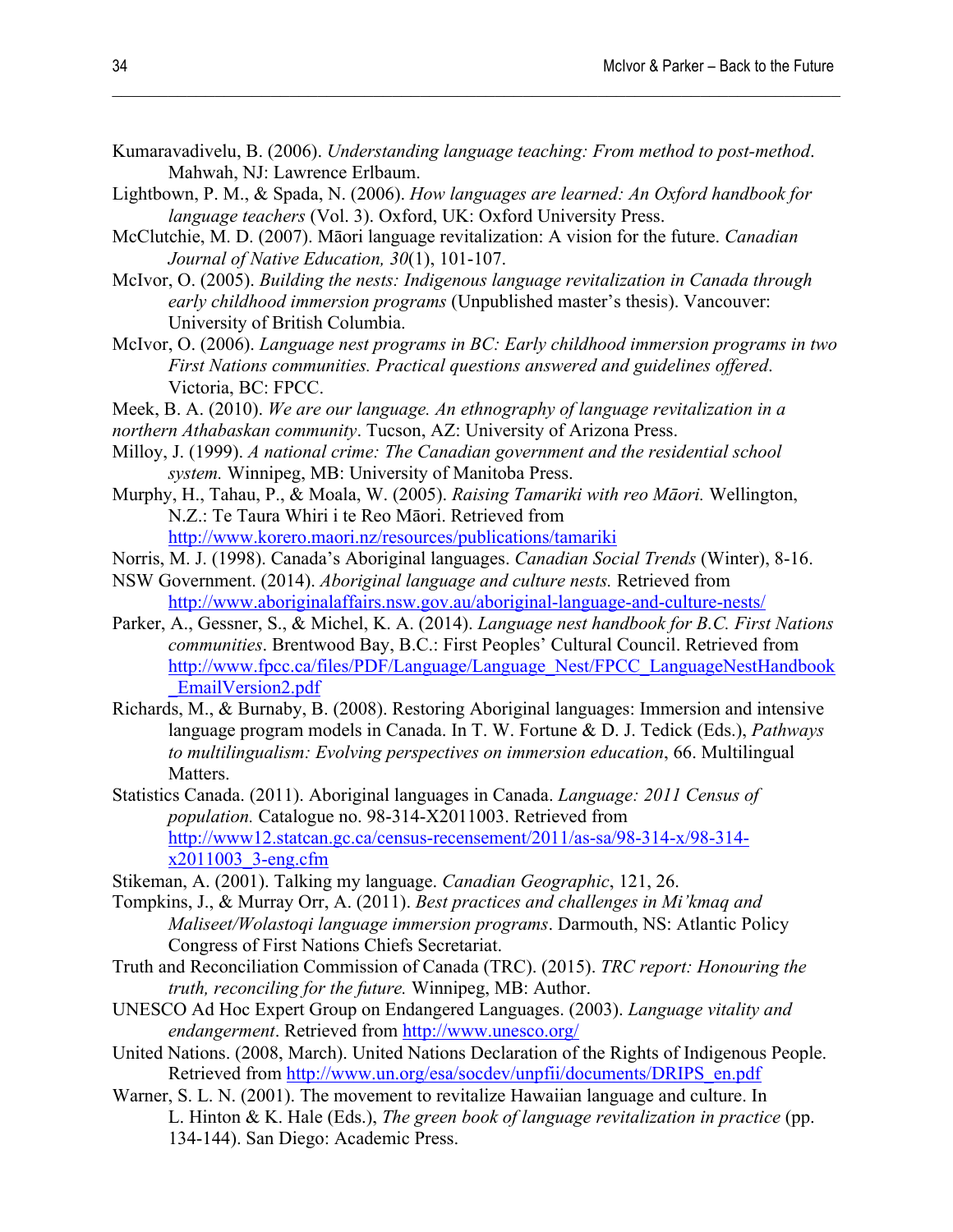Kumaravadivelu, B. (2006). *Understanding language teaching: From method to post-method*. Mahwah, NJ: Lawrence Erlbaum.

 $\mathcal{L}_\mathcal{L} = \{ \mathcal{L}_\mathcal{L} = \{ \mathcal{L}_\mathcal{L} = \{ \mathcal{L}_\mathcal{L} = \{ \mathcal{L}_\mathcal{L} = \{ \mathcal{L}_\mathcal{L} = \{ \mathcal{L}_\mathcal{L} = \{ \mathcal{L}_\mathcal{L} = \{ \mathcal{L}_\mathcal{L} = \{ \mathcal{L}_\mathcal{L} = \{ \mathcal{L}_\mathcal{L} = \{ \mathcal{L}_\mathcal{L} = \{ \mathcal{L}_\mathcal{L} = \{ \mathcal{L}_\mathcal{L} = \{ \mathcal{L}_\mathcal{$ 

- Lightbown, P. M., & Spada, N. (2006). *How languages are learned: An Oxford handbook for language teachers* (Vol. 3). Oxford, UK: Oxford University Press.
- McClutchie, M. D. (2007). Māori language revitalization: A vision for the future. *Canadian Journal of Native Education, 30*(1), 101-107.
- McIvor, O. (2005). *Building the nests: Indigenous language revitalization in Canada through early childhood immersion programs* (Unpublished master's thesis). Vancouver: University of British Columbia.
- McIvor, O. (2006). *Language nest programs in BC: Early childhood immersion programs in two First Nations communities. Practical questions answered and guidelines offered*. Victoria, BC: FPCC.
- Meek, B. A. (2010). *We are our language. An ethnography of language revitalization in a*
- *northern Athabaskan community*. Tucson, AZ: University of Arizona Press.
- Milloy, J. (1999). *A national crime: The Canadian government and the residential school system.* Winnipeg, MB: University of Manitoba Press.
- Murphy, H., Tahau, P., & Moala, W. (2005). *Raising Tamariki with reo Māori.* Wellington, N.Z.: Te Taura Whiri i te Reo Māori. Retrieved from http://www.korero.maori.nz/resources/publications/tamariki
- Norris, M. J. (1998). Canada's Aboriginal languages. *Canadian Social Trends* (Winter), 8-16.
- NSW Government. (2014). *Aboriginal language and culture nests.* Retrieved from http://www.aboriginalaffairs.nsw.gov.au/aboriginal-language-and-culture-nests/
- Parker, A., Gessner, S., & Michel, K. A. (2014). *Language nest handbook for B.C. First Nations communities*. Brentwood Bay, B.C.: First Peoples' Cultural Council. Retrieved from http://www.fpcc.ca/files/PDF/Language/Language\_Nest/FPCC\_LanguageNestHandbook \_EmailVersion2.pdf
- Richards, M., & Burnaby, B. (2008). Restoring Aboriginal languages: Immersion and intensive language program models in Canada. In T. W. Fortune & D. J. Tedick (Eds.), *Pathways to multilingualism: Evolving perspectives on immersion education*, 66. Multilingual Matters.
- Statistics Canada. (2011). Aboriginal languages in Canada. *Language: 2011 Census of population.* Catalogue no. 98-314-X2011003. Retrieved from http://www12.statcan.gc.ca/census-recensement/2011/as-sa/98-314-x/98-314 x2011003\_3-eng.cfm
- Stikeman, A. (2001). Talking my language. *Canadian Geographic*, 121, 26.
- Tompkins, J., & Murray Orr, A. (2011). *Best practices and challenges in Mi'kmaq and Maliseet/Wolastoqi language immersion programs*. Darmouth, NS: Atlantic Policy Congress of First Nations Chiefs Secretariat.
- Truth and Reconciliation Commission of Canada (TRC). (2015). *TRC report: Honouring the truth, reconciling for the future.* Winnipeg, MB: Author.
- UNESCO Ad Hoc Expert Group on Endangered Languages. (2003). *Language vitality and endangerment*. Retrieved from http://www.unesco.org/
- United Nations. (2008, March). United Nations Declaration of the Rights of Indigenous People. Retrieved from http://www.un.org/esa/socdev/unpfii/documents/DRIPS\_en.pdf
- Warner, S. L. N. (2001). The movement to revitalize Hawaiian language and culture. In L. Hinton & K. Hale (Eds.), *The green book of language revitalization in practice* (pp. 134-144). San Diego: Academic Press.